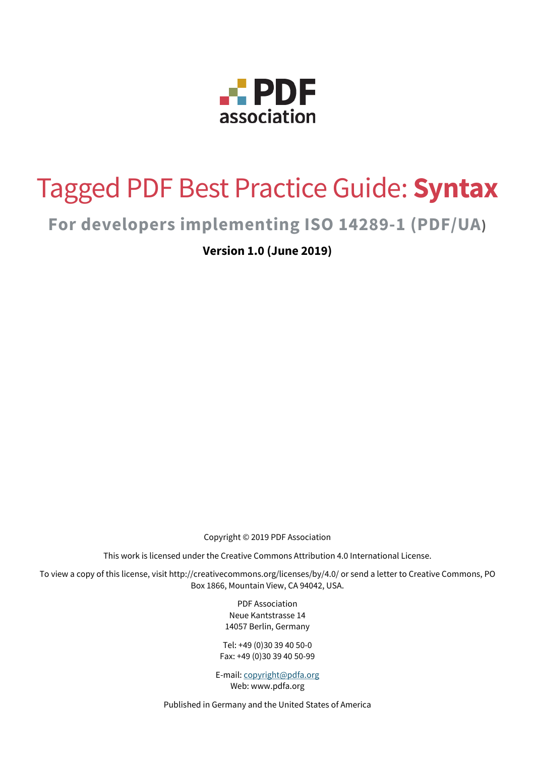

# Tagged PDF Best Practice Guide: **Syntax**

# **For developers implementing ISO 14289-1 (PDF/UA)**

**Version 1.0 (June 2019)** 

Copyright © 2019 PDF Association

This work is licensed under the Creative Commons Attribution 4.0 International License.

To view a copy of this license, visit http://creativecommons.org/licenses/by/4.0/ or send a letter to Creative Commons, PO Box 1866, Mountain View, CA 94042, USA.

> PDF Association Neue Kantstrasse 14 14057 Berlin, Germany

Tel: +49 (0)30 39 40 50-0 Fax: +49 (0)30 39 40 50-99

E-mail: [copyright@pdfa.org](mailto:copyright@pdfa.org) Web: www.pdfa.org

Published in Germany and the United States of America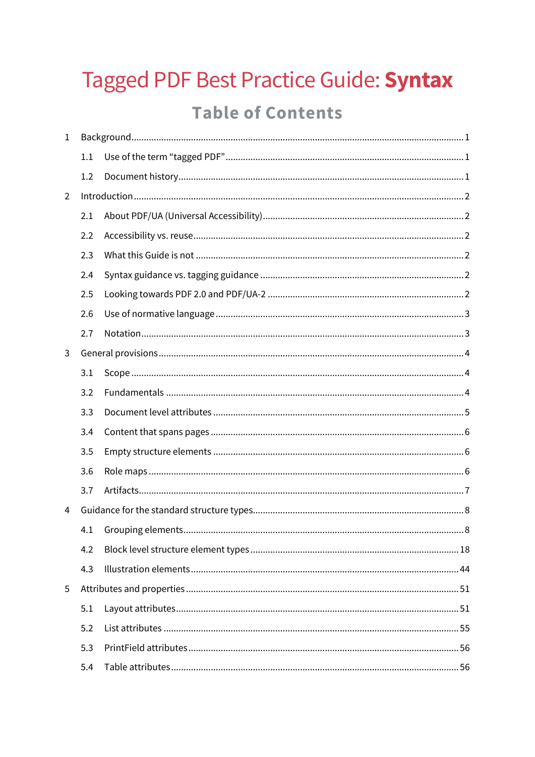# Tagged PDF Best Practice Guide: Syntax **Table of Contents**

| $\mathbf{1}$   |     |  |  |  |
|----------------|-----|--|--|--|
|                | 1.1 |  |  |  |
|                | 1.2 |  |  |  |
| $\overline{2}$ |     |  |  |  |
|                | 2.1 |  |  |  |
|                | 2.2 |  |  |  |
|                | 2.3 |  |  |  |
|                | 2.4 |  |  |  |
|                | 2.5 |  |  |  |
|                | 2.6 |  |  |  |
|                | 2.7 |  |  |  |
| 3              |     |  |  |  |
|                | 3.1 |  |  |  |
|                | 3.2 |  |  |  |
|                | 3.3 |  |  |  |
|                | 3.4 |  |  |  |
|                | 3.5 |  |  |  |
|                | 3.6 |  |  |  |
|                | 3.7 |  |  |  |
| 4              |     |  |  |  |
|                | 4.1 |  |  |  |
|                | 4.2 |  |  |  |
|                | 4.3 |  |  |  |
| 5              |     |  |  |  |
|                | 5.1 |  |  |  |
|                | 5.2 |  |  |  |
|                | 5.3 |  |  |  |
|                | 5.4 |  |  |  |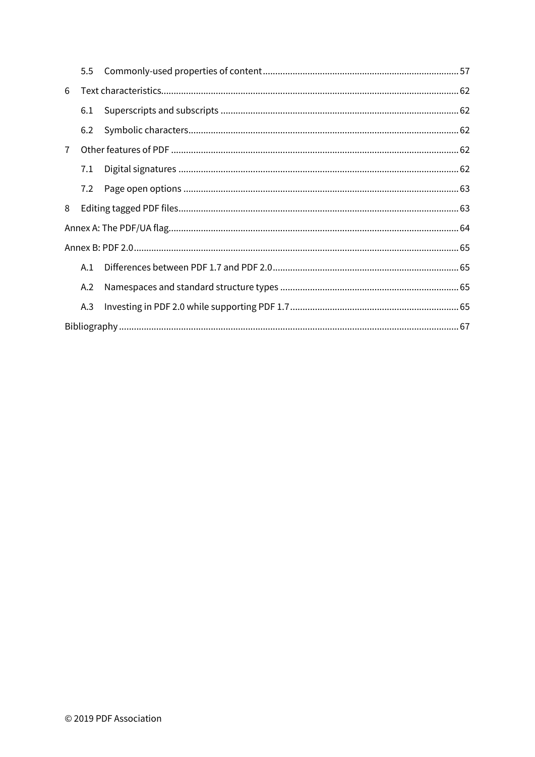|                | 5.5 |  |  |
|----------------|-----|--|--|
| 6              |     |  |  |
|                | 6.1 |  |  |
|                | 6.2 |  |  |
| $\overline{7}$ |     |  |  |
|                | 7.1 |  |  |
|                | 7.2 |  |  |
| 8              |     |  |  |
|                |     |  |  |
|                |     |  |  |
|                | A.1 |  |  |
|                | A.2 |  |  |
|                | A.3 |  |  |
|                |     |  |  |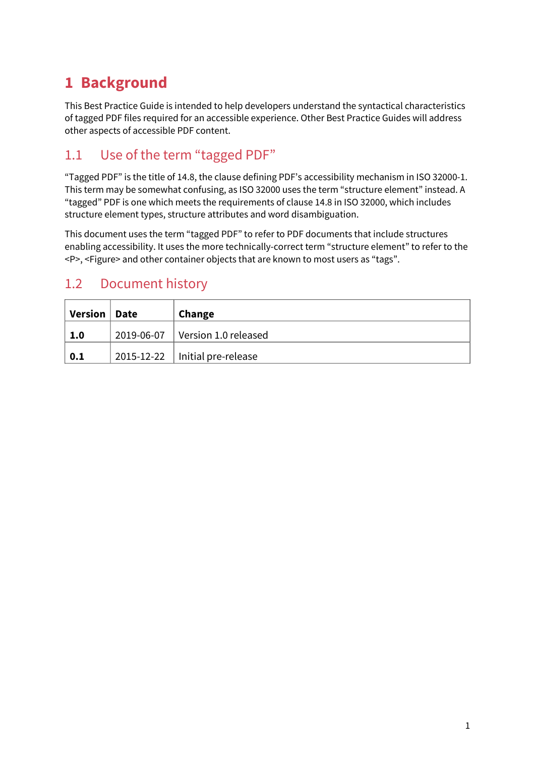# <span id="page-3-0"></span>**1 Background**

This Best Practice Guide is intended to help developers understand the syntactical characteristics of tagged PDF files required for an accessible experience. Other Best Practice Guides will address other aspects of accessible PDF content.

# <span id="page-3-1"></span>1.1 Use of the term "tagged PDF"

"Tagged PDF" is the title of 14.8, the clause defining PDF's accessibility mechanism in ISO 32000-1. This term may be somewhat confusing, as ISO 32000 uses the term "structure element" instead. A "tagged" PDF is one which meets the requirements of clause 14.8 in ISO 32000, which includes structure element types, structure attributes and word disambiguation.

This document uses the term "tagged PDF" to refer to PDF documents that include structures enabling accessibility. It uses the more technically-correct term "structure element" to refer to the <P>, <Figure> and other container objects that are known to most users as "tags".

# <span id="page-3-2"></span>1.2 Document history

| Version   Date | Change                                 |
|----------------|----------------------------------------|
| 1.0            | 2019-06-07 Version 1.0 released        |
| 0.1            | $2015 - 12 - 22$   Initial pre-release |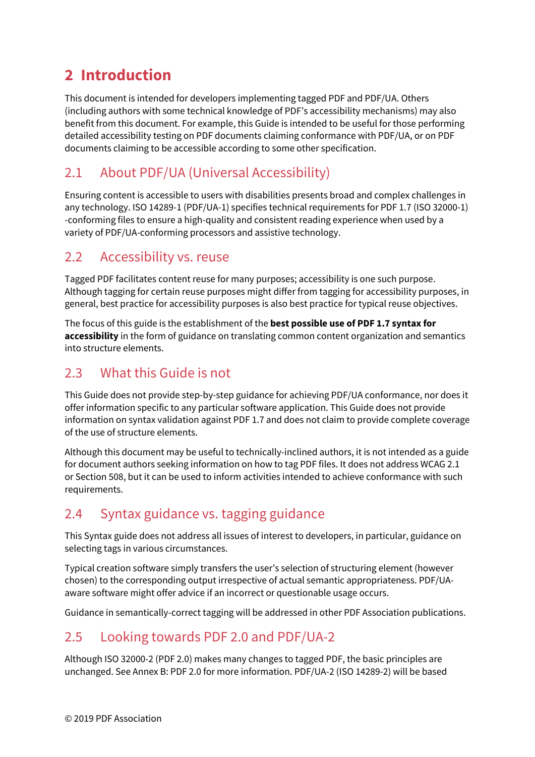# <span id="page-4-0"></span>**2 Introduction**

This document is intended for developers implementing tagged PDF and PDF/UA. Others (including authors with some technical knowledge of PDF's accessibility mechanisms) may also benefit from this document. For example, this Guide is intended to be useful for those performing detailed accessibility testing on PDF documents claiming conformance with PDF/UA, or on PDF documents claiming to be accessible according to some other specification.

# <span id="page-4-1"></span>2.1 About PDF/UA (Universal Accessibility)

Ensuring content is accessible to users with disabilities presents broad and complex challenges in any technology. ISO 14289-1 (PDF/UA-1) specifies technical requirements for PDF 1.7 (ISO 32000-1) -conforming files to ensure a high-quality and consistent reading experience when used by a variety of PDF/UA-conforming processors and assistive technology.

# <span id="page-4-2"></span>2.2 Accessibility vs. reuse

Tagged PDF facilitates content reuse for many purposes; accessibility is one such purpose. Although tagging for certain reuse purposes might differ from tagging for accessibility purposes, in general, best practice for accessibility purposes is also best practice for typical reuse objectives.

The focus of this guide is the establishment of the **best possible use of PDF 1.7 syntax for accessibility** in the form of guidance on translating common content organization and semantics into structure elements.

# <span id="page-4-3"></span>2.3 What this Guide is not

This Guide does not provide step-by-step guidance for achieving PDF/UA conformance, nor does it offer information specific to any particular software application. This Guide does not provide information on syntax validation against PDF 1.7 and does not claim to provide complete coverage of the use of structure elements.

Although this document may be useful to technically-inclined authors, it is not intended as a guide for document authors seeking information on how to tag PDF files. It does not address WCAG 2.1 or Section 508, but it can be used to inform activities intended to achieve conformance with such requirements.

# <span id="page-4-4"></span>2.4 Syntax guidance vs. tagging guidance

This Syntax guide does not address all issues of interest to developers, in particular, guidance on selecting tags in various circumstances.

Typical creation software simply transfers the user's selection of structuring element (however chosen) to the corresponding output irrespective of actual semantic appropriateness. PDF/UAaware software might offer advice if an incorrect or questionable usage occurs.

Guidance in semantically-correct tagging will be addressed in other PDF Association publications.

# <span id="page-4-5"></span>2.5 Looking towards PDF 2.0 and PDF/UA-2

Although ISO 32000-2 (PDF 2.0) makes many changes to tagged PDF, the basic principles are unchanged. See Annex B: PDF 2.0 for more information. PDF/UA-2 (ISO 14289-2) will be based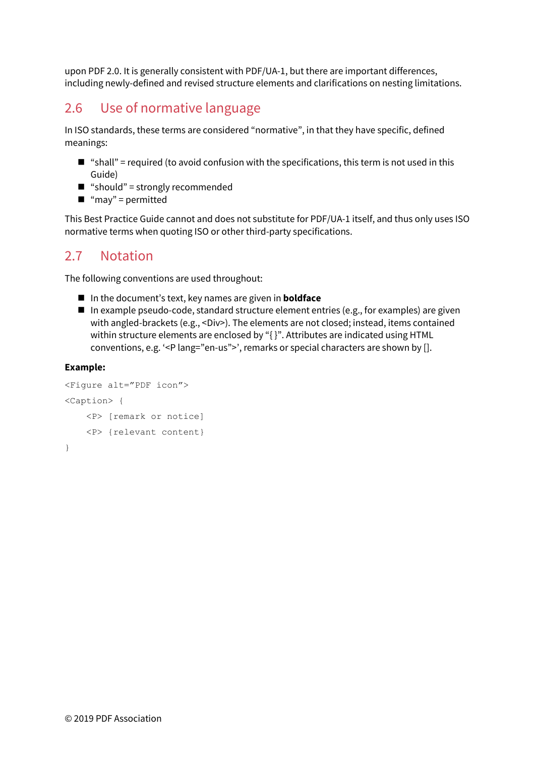upon PDF 2.0. It is generally consistent with PDF/UA-1, but there are important differences, including newly-defined and revised structure elements and clarifications on nesting limitations.

# <span id="page-5-0"></span>2.6 Use of normative language

In ISO standards, these terms are considered "normative", in that they have specific, defined meanings:

- "shall" = required (to avoid confusion with the specifications, this term is not used in this Guide)
- "should" = strongly recommended
- $\blacksquare$  "may" = permitted

This Best Practice Guide cannot and does not substitute for PDF/UA-1 itself, and thus only uses ISO normative terms when quoting ISO or other third-party specifications.

# <span id="page-5-1"></span>2.7 Notation

The following conventions are used throughout:

- In the document's text, key names are given in **boldface**
- In example pseudo-code, standard structure element entries (e.g., for examples) are given with angled-brackets (e.g., <Div>). The elements are not closed; instead, items contained within structure elements are enclosed by "{ }". Attributes are indicated using HTML conventions, e.g. '<P lang="en-us">', remarks or special characters are shown by [].

#### **Example:**

```
<Figure alt="PDF icon"> 
<Caption> { 
     <P> [remark or notice] 
     <P> {relevant content} 
}
```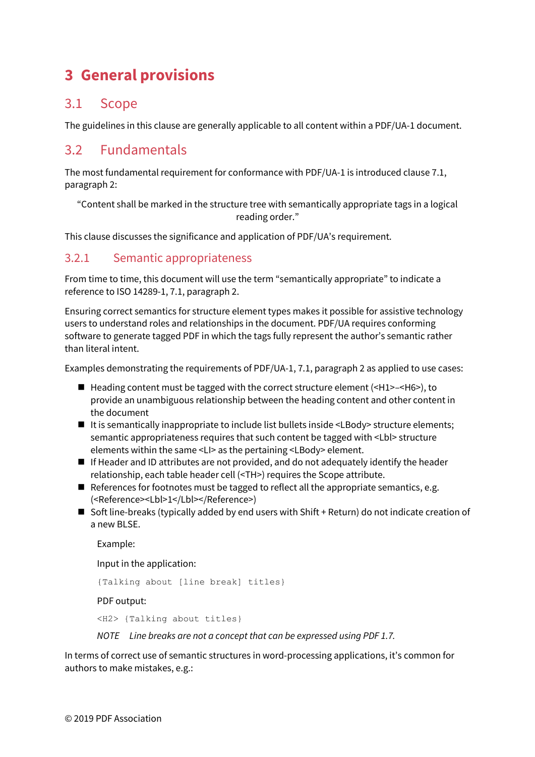# <span id="page-6-0"></span>**3 General provisions**

# <span id="page-6-1"></span>3.1 Scope

The guidelines in this clause are generally applicable to all content within a PDF/UA-1 document.

# <span id="page-6-2"></span>3.2 Fundamentals

The most fundamental requirement for conformance with PDF/UA-1 is introduced clause 7.1, paragraph 2:

"Content shall be marked in the structure tree with semantically appropriate tags in a logical reading order."

This clause discusses the significance and application of PDF/UA's requirement.

# 3.2.1 Semantic appropriateness

From time to time, this document will use the term "semantically appropriate" to indicate a reference to ISO 14289-1, 7.1, paragraph 2.

Ensuring correct semantics for structure element types makes it possible for assistive technology users to understand roles and relationships in the document. PDF/UA requires conforming software to generate tagged PDF in which the tags fully represent the author's semantic rather than literal intent.

Examples demonstrating the requirements of PDF/UA-1, 7.1, paragraph 2 as applied to use cases:

- $\blacksquare$  Heading content must be tagged with the correct structure element (<H1>-<H6>), to provide an unambiguous relationship between the heading content and other content in the document
- It is semantically inappropriate to include list bullets inside <LBody> structure elements; semantic appropriateness requires that such content be tagged with <Lbl> structure elements within the same <LI> as the pertaining <LBody> element.
- If Header and ID attributes are not provided, and do not adequately identify the header relationship, each table header cell (<TH>) requires the Scope attribute.
- References for footnotes must be tagged to reflect all the appropriate semantics, e.g. (<Reference><Lbl>1</Lbl></Reference>)
- Soft line-breaks (typically added by end users with Shift + Return) do not indicate creation of a new BLSE.

Example:

Input in the application:

{Talking about [line break] titles}

PDF output:

<H2> {Talking about titles}

*NOTE Line breaks are not a concept that can be expressed using PDF 1.7.* 

In terms of correct use of semantic structures in word-processing applications, it's common for authors to make mistakes, e.g.: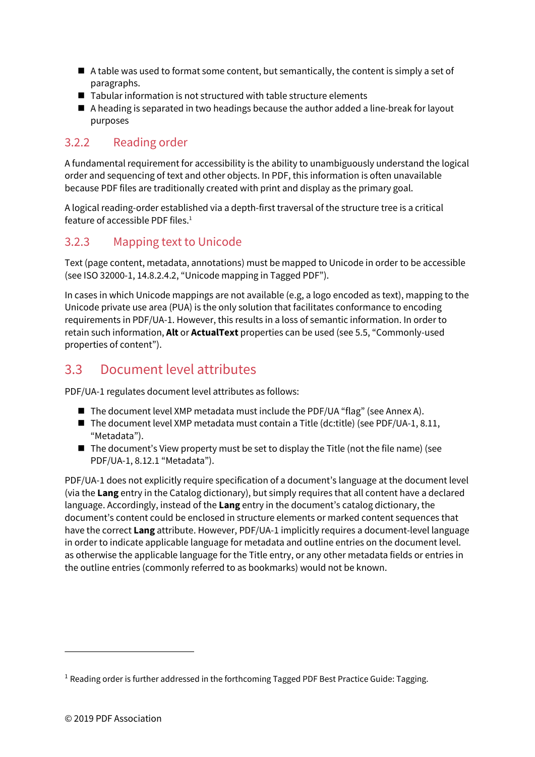- $\blacksquare$  A table was used to format some content, but semantically, the content is simply a set of paragraphs.
- Tabular information is not structured with table structure elements
- A heading is separated in two headings because the author added a line-break for layout purposes

# 3.2.2 Reading order

A fundamental requirement for accessibility is the ability to unambiguously understand the logical order and sequencing of text and other objects. In PDF, this information is often unavailable because PDF files are traditionally created with print and display as the primary goal.

<span id="page-7-2"></span>A logical reading-order established via a depth-first traversal of the structure tree is a critical feature of accessible PDF files. $1$ 

# 3.2.3 Mapping text to Unicode

Text (page content, metadata, annotations) must be mapped to Unicode in order to be accessible (see ISO 32000-1, 14.8.2.4.2, "Unicode mapping in Tagged PDF").

In cases in which Unicode mappings are not available (e.g, a logo encoded as text), mapping to the Unicode private use area (PUA) is the only solution that facilitates conformance to encoding requirements in PDF/UA-1. However, this results in a loss of semantic information. In order to retain such information, **Alt** or **ActualText** properties can be used (se[e 5.5,](#page-59-0) ["Commonly-used](#page-59-0)  [properties of content"](#page-59-0)).

# <span id="page-7-0"></span>3.3 Document level attributes

PDF/UA-1 regulates document level attributes as follows:

- The document level XMP metadata must include the PDF/UA "flag" (see Annex A).
- $\blacksquare$  The document level XMP metadata must contain a Title (dc:title) (see PDF/UA-1, 8.11, "Metadata").
- The document's View property must be set to display the Title (not the file name) (see PDF/UA-1, 8.12.1 "Metadata").

PDF/UA-1 does not explicitly require specification of a document's language at the document level (via the **Lang** entry in the Catalog dictionary), but simply requires that all content have a declared language. Accordingly, instead of the **Lang** entry in the document's catalog dictionary, the document's content could be enclosed in structure elements or marked content sequences that have the correct **Lang** attribute. However, PDF/UA-1 implicitly requires a document-level language in order to indicate applicable language for metadata and outline entries on the document level. as otherwise the applicable language for the Title entry, or any other metadata fields or entries in the outline entries (commonly referred to as bookmarks) would not be known.

 $\overline{a}$ 

<span id="page-7-1"></span> $<sup>1</sup>$  $<sup>1</sup>$  $<sup>1</sup>$  Reading order is further addressed in the forthcoming Tagged PDF Best Practice Guide: Tagging.</sup>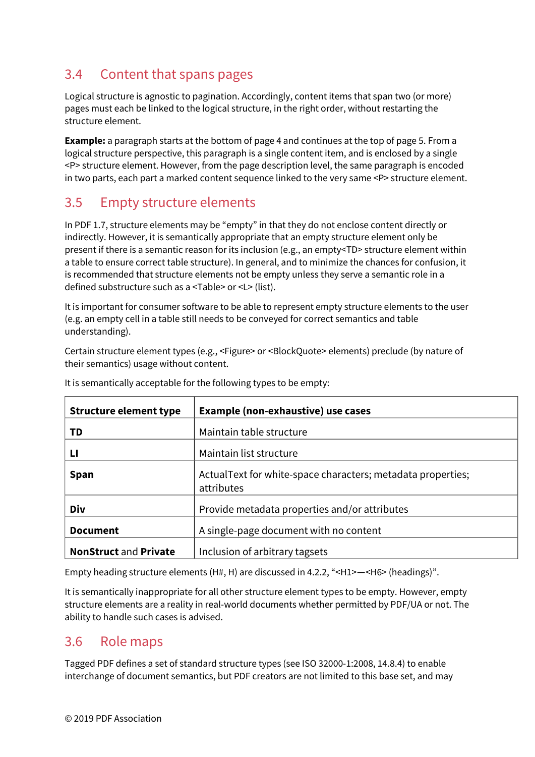# <span id="page-8-0"></span>3.4 Content that spans pages

Logical structure is agnostic to pagination. Accordingly, content items that span two (or more) pages must each be linked to the logical structure, in the right order, without restarting the structure element.

**Example:** a paragraph starts at the bottom of page 4 and continues at the top of page 5. From a logical structure perspective, this paragraph is a single content item, and is enclosed by a single <P> structure element. However, from the page description level, the same paragraph is encoded in two parts, each part a marked content sequence linked to the very same <P> structure element.

# <span id="page-8-1"></span>3.5 Empty structure elements

In PDF 1.7, structure elements may be "empty" in that they do not enclose content directly or indirectly. However, it is semantically appropriate that an empty structure element only be present if there is a semantic reason for its inclusion (e.g., an empty<TD> structure element within a table to ensure correct table structure). In general, and to minimize the chances for confusion, it is recommended that structure elements not be empty unless they serve a semantic role in a defined substructure such as a <Table> or <L> (list).

It is important for consumer software to be able to represent empty structure elements to the user (e.g. an empty cell in a table still needs to be conveyed for correct semantics and table understanding).

Certain structure element types (e.g., <Figure> or <BlockQuote> elements) preclude (by nature of their semantics) usage without content.

| <b>Structure element type</b> | <b>Example (non-exhaustive) use cases</b>                                  |  |
|-------------------------------|----------------------------------------------------------------------------|--|
| TD                            | Maintain table structure                                                   |  |
| Ц                             | Maintain list structure                                                    |  |
| <b>Span</b>                   | Actual Text for white-space characters; metadata properties;<br>attributes |  |
| Div                           | Provide metadata properties and/or attributes                              |  |
| <b>Document</b>               | A single-page document with no content                                     |  |
| <b>NonStruct and Private</b>  | Inclusion of arbitrary tagsets                                             |  |

It is semantically acceptable for the following types to be empty:

Empty heading structure elements (H#, H) are discussed i[n 4.2.2,](#page-21-0) "<H1>—[<H6> \(headings\)"](#page-21-0).

It is semantically inappropriate for all other structure element types to be empty. However, empty structure elements are a reality in real-world documents whether permitted by PDF/UA or not. The ability to handle such cases is advised.

# <span id="page-8-2"></span>3.6 Role maps

Tagged PDF defines a set of standard structure types (see ISO 32000-1:2008, 14.8.4) to enable interchange of document semantics, but PDF creators are not limited to this base set, and may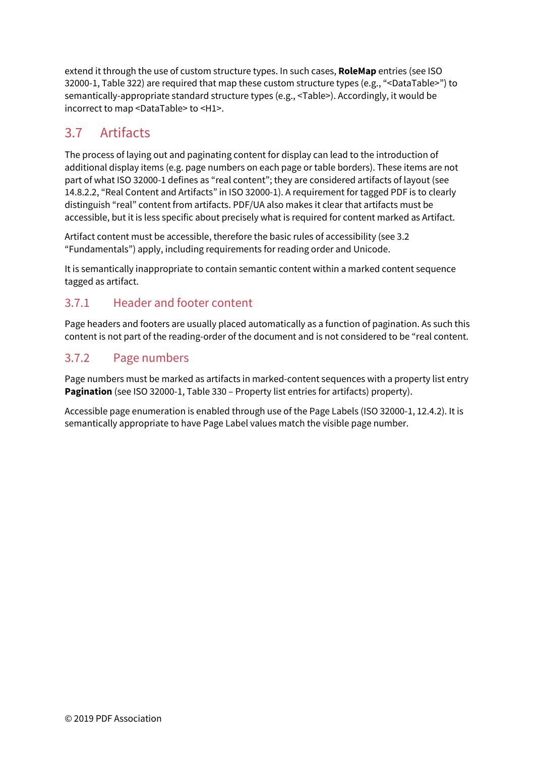extend it through the use of custom structure types. In such cases, **RoleMap** entries (see ISO 32000-1, Table 322) are required that map these custom structure types (e.g., "<DataTable>") to semantically-appropriate standard structure types (e.g., <Table>). Accordingly, it would be incorrect to map <DataTable> to <H1>.

# <span id="page-9-0"></span>3.7 Artifacts

The process of laying out and paginating content for display can lead to the introduction of additional display items (e.g. page numbers on each page or table borders). These items are not part of what ISO 32000-1 defines as "real content"; they are considered artifacts of layout (see 14.8.2.2, "Real Content and Artifacts" in ISO 32000-1). A requirement for tagged PDF is to clearly distinguish "real" content from artifacts. PDF/UA also makes it clear that artifacts must be accessible, but it is less specific about precisely what is required for content marked as Artifact.

Artifact content must be accessible, therefore the basic rules of accessibility (see 3.2 "Fundamentals") apply, including requirements for reading order and Unicode.

It is semantically inappropriate to contain semantic content within a marked content sequence tagged as artifact.

# 3.7.1 Header and footer content

Page headers and footers are usually placed automatically as a function of pagination. As such this content is not part of the reading-order of the document and is not considered to be "real content.

# 3.7.2 Page numbers

Page numbers must be marked as artifacts in marked-content sequences with a property list entry Pagination (see ISO 32000-1, Table 330 – Property list entries for artifacts) property).

Accessible page enumeration is enabled through use of the Page Labels (ISO 32000-1, 12.4.2). It is semantically appropriate to have Page Label values match the visible page number.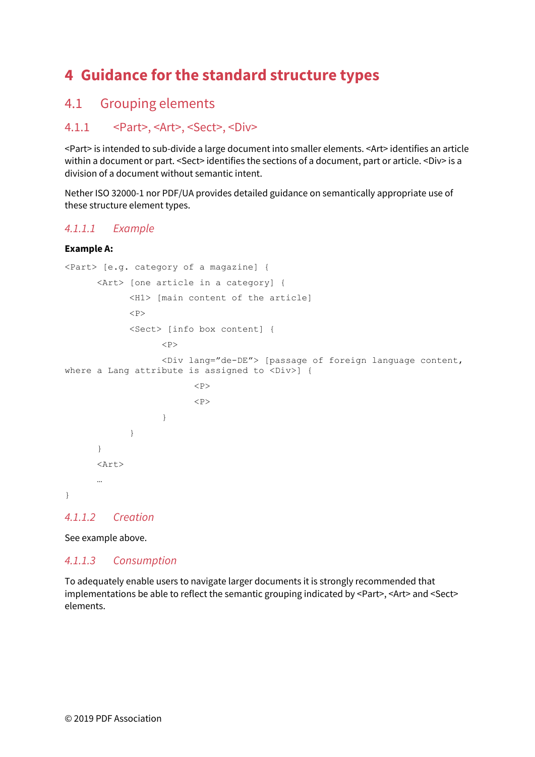# <span id="page-10-0"></span>**4 Guidance for the standard structure types**

# <span id="page-10-1"></span>4.1 Grouping elements

# 4.1.1 <Part>, <Art>, <Sect>, <Div>

<Part> is intended to sub-divide a large document into smaller elements. <Art> identifies an article within a document or part. <Sect> identifies the sections of a document, part or article. <Div> is a division of a document without semantic intent.

Nether ISO 32000-1 nor PDF/UA provides detailed guidance on semantically appropriate use of these structure element types.

### *4.1.1.1 Example*

#### **Example A:**

```
<Part> [e.g. category of a magazine] { 
       <Art> [one article in a category] { 
             <H1> [main content of the article] 
            P <Sect> [info box content] { 
                  P <Div lang="de-DE"> [passage of foreign language content, 
where a Lang attribute is assigned to <Div>] {
                         <br>P<br> <math display="inline">\langle P \rangle</math> } 
 } 
       } 
       <Art> 
       … 
}
```
#### *4.1.1.2 Creation*

See example above.

#### *4.1.1.3 Consumption*

To adequately enable users to navigate larger documents it is strongly recommended that implementations be able to reflect the semantic grouping indicated by <Part>, <Art> and <Sect> elements.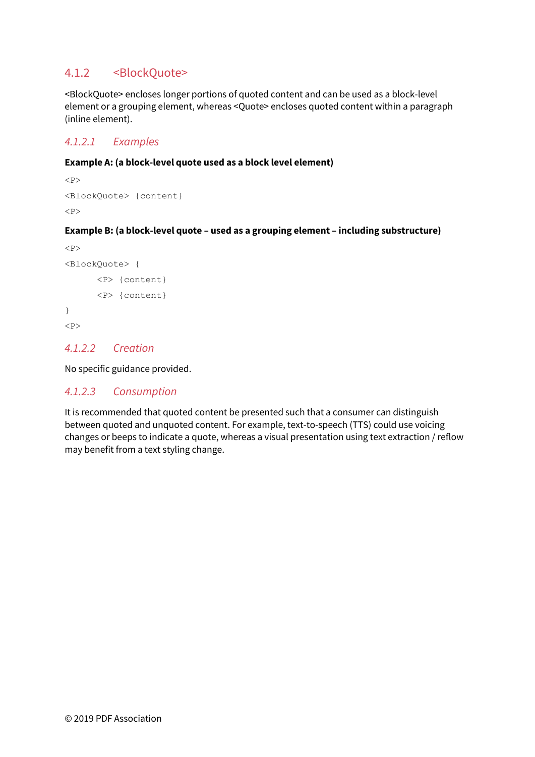### 4.1.2 <BlockQuote>

<BlockQuote> encloses longer portions of quoted content and can be used as a block-level element or a grouping element, whereas <Quote> encloses quoted content within a paragraph (inline element).

### *4.1.2.1 Examples*

#### **Example A: (a block-level quote used as a block level element)**

```
P<BlockQuote> {content} 
<br>P>
```
#### **Example B: (a block-level quote – used as a grouping element – including substructure)**

```
<br> <sub>P</sub><BlockQuote> { 
         <P> {content} 
         <P> {content} 
} 
P
```
### *4.1.2.2 Creation*

No specific guidance provided.

#### *4.1.2.3 Consumption*

It is recommended that quoted content be presented such that a consumer can distinguish between quoted and unquoted content. For example, text-to-speech (TTS) could use voicing changes or beeps to indicate a quote, whereas a visual presentation using text extraction / reflow may benefit from a text styling change.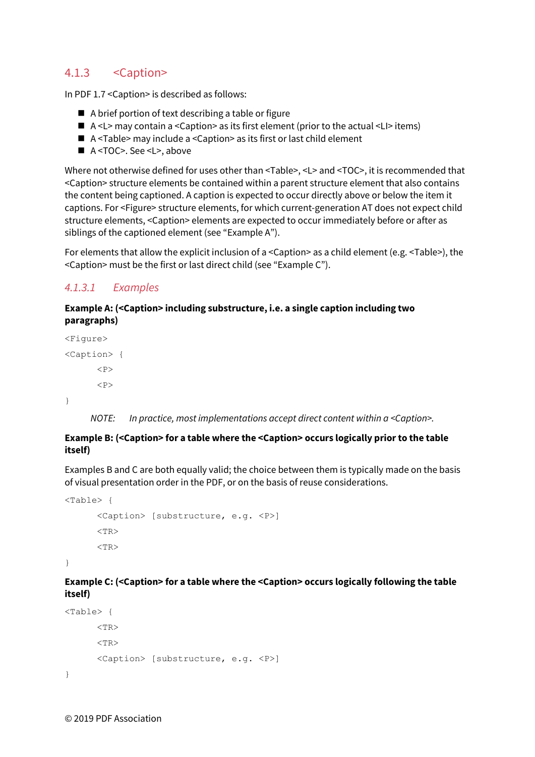# 4.1.3 <Caption>

In PDF 1.7 <Caption> is described as follows:

- $\blacksquare$  A brief portion of text describing a table or figure
- $\blacksquare$  A <L> may contain a <Caption> as its first element (prior to the actual <LI> items)
- A <Table> may include a <Caption> as its first or last child element
- A <TOC>. See <L>, above

Where not otherwise defined for uses other than <Table>, <L> and <TOC>, it is recommended that <Caption> structure elements be contained within a parent structure element that also contains the content being captioned. A caption is expected to occur directly above or below the item it captions. For <Figure> structure elements, for which current-generation AT does not expect child structure elements, <Caption> elements are expected to occur immediately before or after as siblings of the captioned element (see "Example A").

For elements that allow the explicit inclusion of a <Caption> as a child element (e.g. <Table>), the <Caption> must be the first or last direct child (see "Example C").

### *4.1.3.1 Examples*

#### **Example A: (<Caption> including substructure, i.e. a single caption including two paragraphs)**

<Figure> <Caption> {  $P$  $$\left\langle P\right\rangle$$ }

*NOTE: In practice, most implementations accept direct content within a <Caption>.* 

#### **Example B: (<Caption> for a table where the <Caption> occurs logically prior to the table itself)**

Examples B and C are both equally valid; the choice between them is typically made on the basis of visual presentation order in the PDF, or on the basis of reuse considerations.

```
<Table> { 
      <Caption> [substructure, e.g. <P>] 
      ZT<TR>
```
}

#### **Example C: (<Caption> for a table where the <Caption> occurs logically following the table itself)**

```
<Table> { 
      ZTR<TR><Caption> [substructure, e.g. <P>] 
}
```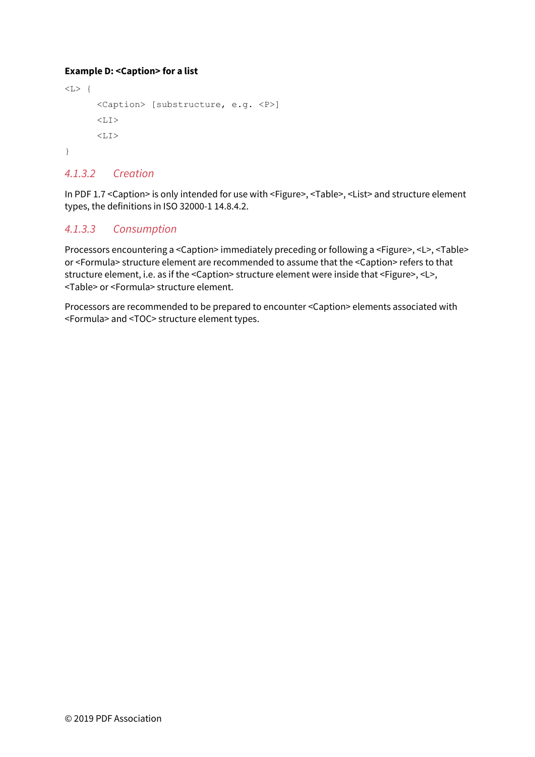#### **Example D: <Caption> for a list**

```
\langle L \rangle {
         <Caption> [substructure, e.g. <P>] 
         <LI>\langle T, T \rangle}
```
### *4.1.3.2 Creation*

In PDF 1.7 <Caption> is only intended for use with <Figure>, <Table>, <List> and structure element types, the definitions in ISO 32000-1 14.8.4.2.

### *4.1.3.3 Consumption*

Processors encountering a <Caption> immediately preceding or following a <Figure>, <L>, <Table> or <Formula> structure element are recommended to assume that the <Caption> refers to that structure element, i.e. as if the <Caption> structure element were inside that <Figure>, <L>, <Table> or <Formula> structure element.

Processors are recommended to be prepared to encounter <Caption> elements associated with <Formula> and <TOC> structure element types.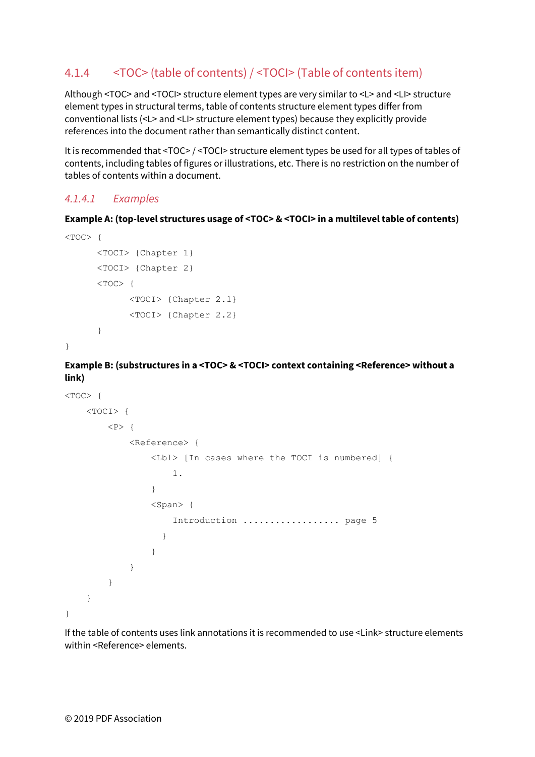# <span id="page-14-0"></span>4.1.4 <TOC> (table of contents) / <TOCI> (Table of contents item)

Although <TOC> and <TOCI> structure element types are very similar to <L> and <LI> structure element types in structural terms, table of contents structure element types differ from conventional lists (<L> and <LI> structure element types) because they explicitly provide references into the document rather than semantically distinct content.

It is recommended that <TOC> / <TOCI> structure element types be used for all types of tables of contents, including tables of figures or illustrations, etc. There is no restriction on the number of tables of contents within a document.

#### *4.1.4.1 Examples*

#### **Example A: (top-level structures usage of <TOC> & <TOCI> in a multilevel table of contents)**

```
< TOC> {
       <TOCI> {Chapter 1} 
       <TOCI> {Chapter 2} 
      < TOC> {
              <TOCI> {Chapter 2.1} 
              <TOCI> {Chapter 2.2} 
      }
```
}

**Example B: (substructures in a <TOC> & <TOCI> context containing <Reference> without a link)** 

```
< TOC> {
    <TOCI> { 
       <br> <math>\left\{ \right. <Reference> { 
                <Lbl> [In cases where the TOCI is numbered] { 
                   1. 
 } 
                <Span> { 
                   Introduction .................. page 5 
 } 
 } 
 } 
        } 
    } 
}
```
If the table of contents uses link annotations it is recommended to use <Link> structure elements within <Reference> elements.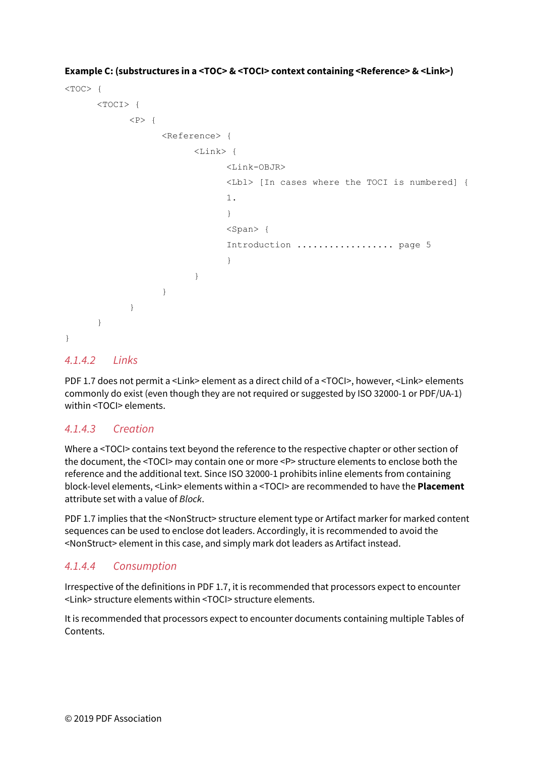```
< TOC> {
     <TOCI> { 
        <br> <math>\langle P \rangle</math> { <Reference> { 
                  <Link> { 
                       <Link-OBJR> 
                       <Lbl> [In cases where the TOCI is numbered] { 
1.1.1 } 
                       <Span> { 
                       Introduction .................. page 5 
 } 
 } 
 } 
 } 
     } 
}
```
**Example C: (substructures in a <TOC> & <TOCI> context containing <Reference> & <Link>)** 

#### *4.1.4.2 Links*

PDF 1.7 does not permit a <Link> element as a direct child of a <TOCI>, however, <Link> elements commonly do exist (even though they are not required or suggested by ISO 32000-1 or PDF/UA-1) within <TOCI> elements.

#### *4.1.4.3 Creation*

Where a <TOCI> contains text beyond the reference to the respective chapter or other section of the document, the <TOCI> may contain one or more <P> structure elements to enclose both the reference and the additional text. Since ISO 32000-1 prohibits inline elements from containing block-level elements, <Link> elements within a <TOCI> are recommended to have the **Placement** attribute set with a value of *Block*.

PDF 1.7 implies that the <NonStruct> structure element type or Artifact marker for marked content sequences can be used to enclose dot leaders. Accordingly, it is recommended to avoid the <NonStruct> element in this case, and simply mark dot leaders as Artifact instead.

### *4.1.4.4 Consumption*

Irrespective of the definitions in PDF 1.7, it is recommended that processors expect to encounter <Link> structure elements within <TOCI> structure elements.

It is recommended that processors expect to encounter documents containing multiple Tables of Contents.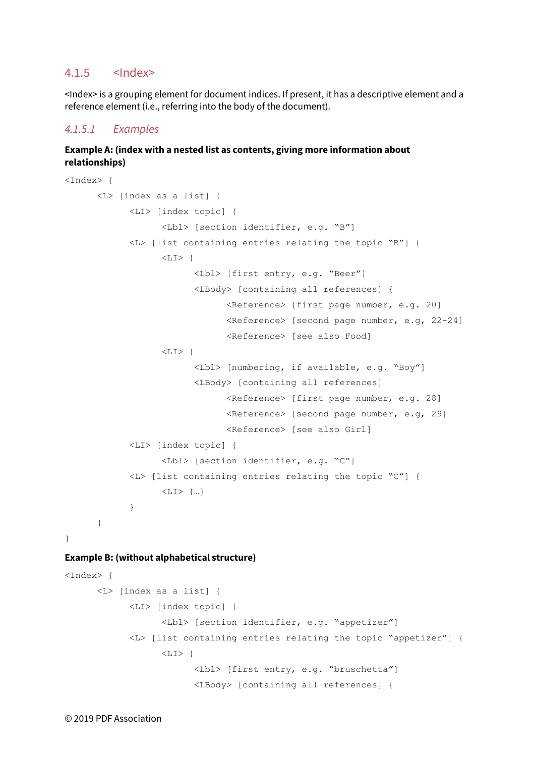#### $4.1.5$   $<$ Index>

<Index> is a grouping element for document indices. If present, it has a descriptive element and a reference element (i.e., referring into the body of the document).

#### *4.1.5.1 Examples*

#### **Example A: (index with a nested list as contents, giving more information about relationships)**

```
<Index> { 
       <L> [index as a list] { 
            <LI> [index topic] { 
                    <Lbl> [section identifier, e.g. "B"] 
              <L> [list containing entries relating the topic "B"] { 
                   <LI> {
                          <Lbl> [first entry, e.g. "Beer"] 
                           <LBody> [containing all references] { 
                                 <Reference> [first page number, e.g. 20] 
                                 <Reference> [second page number, e.g, 22-24] 
                                 <Reference> [see also Food] 
                   <LI> {
                           <Lbl> [numbering, if available, e.g. "Boy"] 
                           <LBody> [containing all references] 
                                 <Reference> [first page number, e.g. 28] 
                                 <Reference> [second page number, e.g, 29] 
                                 <Reference> [see also Girl] 
            <LI> [index topic] { 
                   <Lbl> [section identifier, e.g. "C"] 
              <L> [list containing entries relating the topic "C"] { 
                    <LI> {…} 
             } 
       } 
}
```
#### **Example B: (without alphabetical structure)**

```
<Index> { 
       <L> [index as a list] { 
             <LI> [index topic] { 
                     <Lbl> [section identifier, e.g. "appetizer"] 
              <L> [list containing entries relating the topic "appetizer"] { 
                    \langle LI \rangle {
                            <Lbl> [first entry, e.g. "bruschetta"] 
                            <LBody> [containing all references] {
```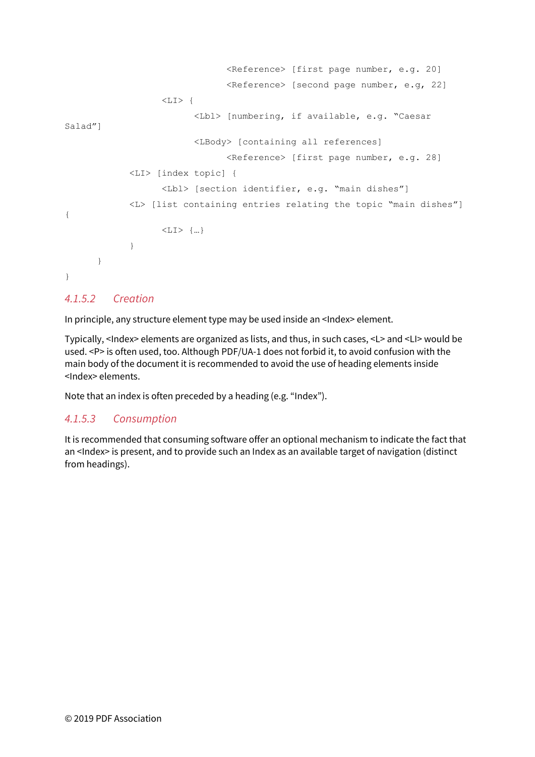```
 <Reference> [first page number, e.g. 20] 
                                  <Reference> [second page number, e.g, 22] 
                   \langleLI>\{ <Lbl> [numbering, if available, e.g. "Caesar 
Salad"] 
                           <LBody> [containing all references] 
                                  <Reference> [first page number, e.g. 28] 
             <LI> [index topic] { 
                   <Lbl> [section identifier, e.g. "main dishes"] 
              <L> [list containing entries relating the topic "main dishes"] 
{ 
                    <LI> {…} 
             } 
       } 
} 
4.1.5.2 Creation
```
In principle, any structure element type may be used inside an <Index> element.

Typically, <Index> elements are organized as lists, and thus, in such cases, <L> and <LI> would be used. <P> is often used, too. Although PDF/UA-1 does not forbid it, to avoid confusion with the main body of the document it is recommended to avoid the use of heading elements inside <Index> elements.

Note that an index is often preceded by a heading (e.g. "Index").

### *4.1.5.3 Consumption*

It is recommended that consuming software offer an optional mechanism to indicate the fact that an <Index> is present, and to provide such an Index as an available target of navigation (distinct from headings).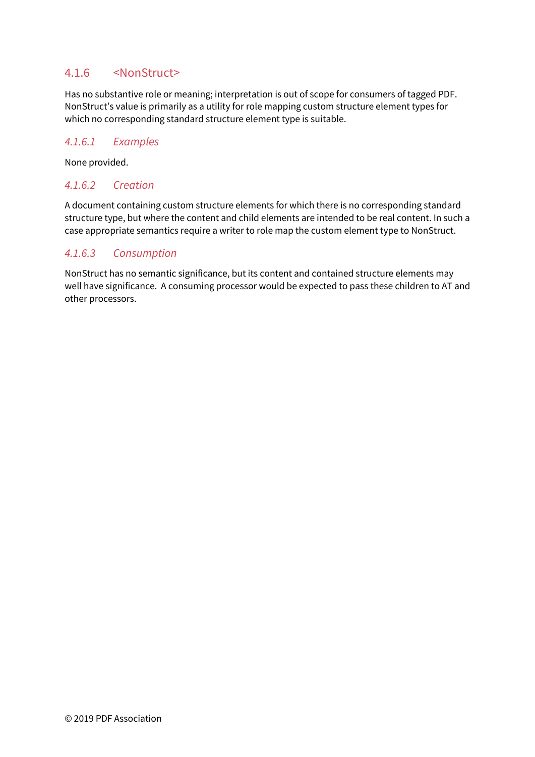### 4.1.6 <NonStruct>

Has no substantive role or meaning; interpretation is out of scope for consumers of tagged PDF. NonStruct's value is primarily as a utility for role mapping custom structure element types for which no corresponding standard structure element type is suitable.

#### *4.1.6.1 Examples*

None provided.

#### *4.1.6.2 Creation*

A document containing custom structure elements for which there is no corresponding standard structure type, but where the content and child elements are intended to be real content. In such a case appropriate semantics require a writer to role map the custom element type to NonStruct.

#### *4.1.6.3 Consumption*

NonStruct has no semantic significance, but its content and contained structure elements may well have significance. A consuming processor would be expected to pass these children to AT and other processors.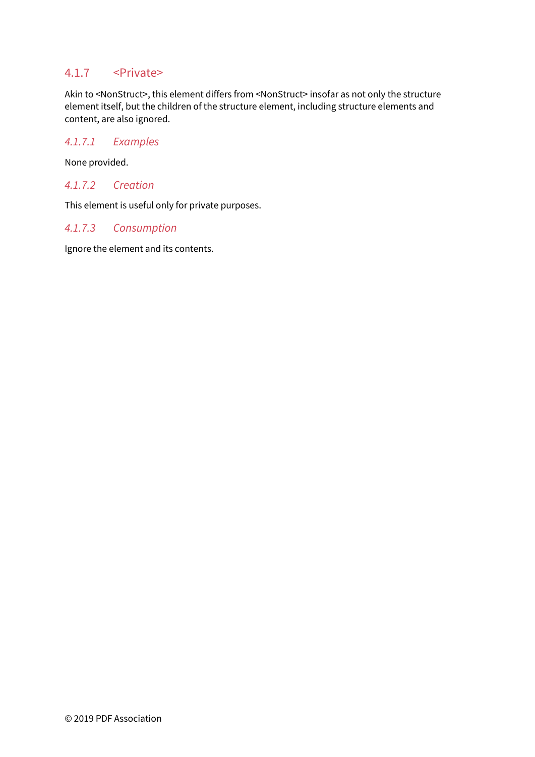### 4.1.7 <Private>

Akin to <NonStruct>, this element differs from <NonStruct> insofar as not only the structure element itself, but the children of the structure element, including structure elements and content, are also ignored.

#### *4.1.7.1 Examples*

None provided.

#### *4.1.7.2 Creation*

This element is useful only for private purposes.

#### *4.1.7.3 Consumption*

Ignore the element and its contents.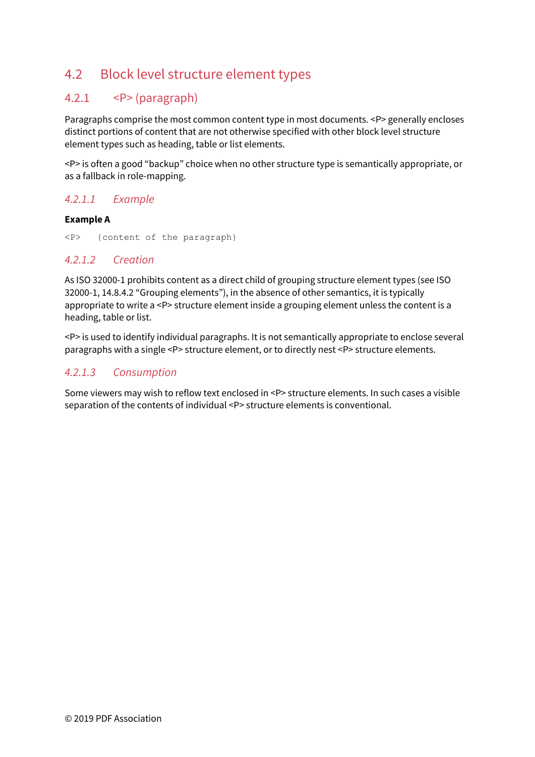# <span id="page-20-0"></span>4.2 Block level structure element types

# 4.2.1 <P> (paragraph)

Paragraphs comprise the most common content type in most documents. <P> generally encloses distinct portions of content that are not otherwise specified with other block level structure element types such as heading, table or list elements.

<P> is often a good "backup" choice when no other structure type is semantically appropriate, or as a fallback in role-mapping.

### *4.2.1.1 Example*

#### **Example A**

<P> {content of the paragraph}

#### *4.2.1.2 Creation*

As ISO 32000-1 prohibits content as a direct child of grouping structure element types (see ISO 32000-1, 14.8.4.2 "Grouping elements"), in the absence of other semantics, it is typically appropriate to write a <P> structure element inside a grouping element unless the content is a heading, table or list.

<P> is used to identify individual paragraphs. It is not semantically appropriate to enclose several paragraphs with a single <P> structure element, or to directly nest <P> structure elements.

### *4.2.1.3 Consumption*

Some viewers may wish to reflow text enclosed in <P> structure elements. In such cases a visible separation of the contents of individual <P> structure elements is conventional.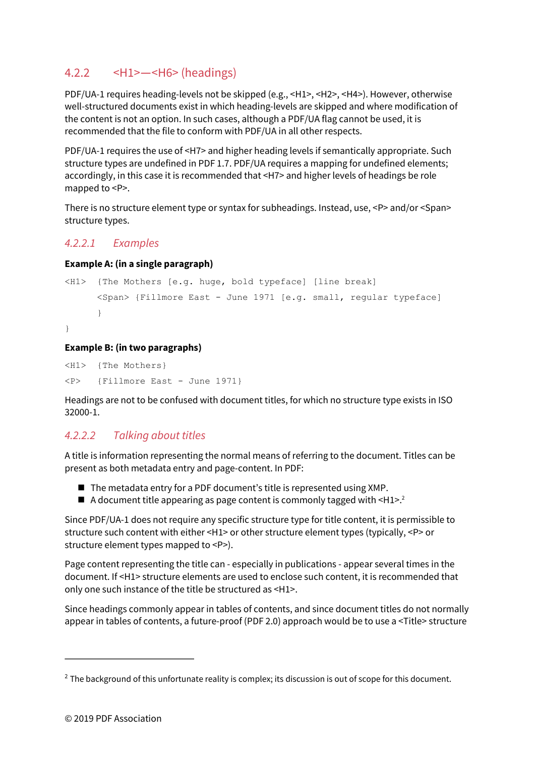# <span id="page-21-0"></span>4.2.2 <H1>—<H6> (headings)

PDF/UA-1 requires heading-levels not be skipped (e.g., <H1>, <H2>, <H4>). However, otherwise well-structured documents exist in which heading-levels are skipped and where modification of the content is not an option. In such cases, although a PDF/UA flag cannot be used, it is recommended that the file to conform with PDF/UA in all other respects.

PDF/UA-1 requires the use of <H7> and higher heading levels if semantically appropriate. Such structure types are undefined in PDF 1.7. PDF/UA requires a mapping for undefined elements; accordingly, in this case it is recommended that <H7> and higher levels of headings be role mapped to <P>.

There is no structure element type or syntax for subheadings. Instead, use, <P> and/or <Span> structure types.

### *4.2.2.1 Examples*

#### **Example A: (in a single paragraph)**

```
<H1> {The Mothers [e.g. huge, bold typeface] [line break] 
      <Span> {Fillmore East - June 1971 [e.g. small, regular typeface] 
      } 
}
```
#### **Example B: (in two paragraphs)**

<H1> {The Mothers} <P> {Fillmore East - June 1971}

Headings are not to be confused with document titles, for which no structure type exists in ISO 32000-1.

### *4.2.2.2 Talking about titles*

A title is information representing the normal means of referring to the document. Titles can be present as both metadata entry and page-content. In PDF:

- The metadata entry for a PDF document's title is represented using XMP.
- $\blacksquare$  A document title appearing as page content is commonly tagged with  $\leq H1>^2$  $\leq H1>^2$

Since PDF/UA-1 does not require any specific structure type for title content, it is permissible to structure such content with either <H1> or other structure element types (typically, <P> or structure element types mapped to <P>).

Page content representing the title can - especially in publications - appear several times in the document. If <H1> structure elements are used to enclose such content, it is recommended that only one such instance of the title be structured as <H1>.

Since headings commonly appear in tables of contents, and since document titles do not normally appear in tables of contents, a future-proof (PDF 2.0) approach would be to use a <Title> structure

<span id="page-21-2"></span> $\overline{a}$ 

<span id="page-21-1"></span><sup>&</sup>lt;sup>[2](#page-21-2)</sup> The background of this unfortunate reality is complex; its discussion is out of scope for this document.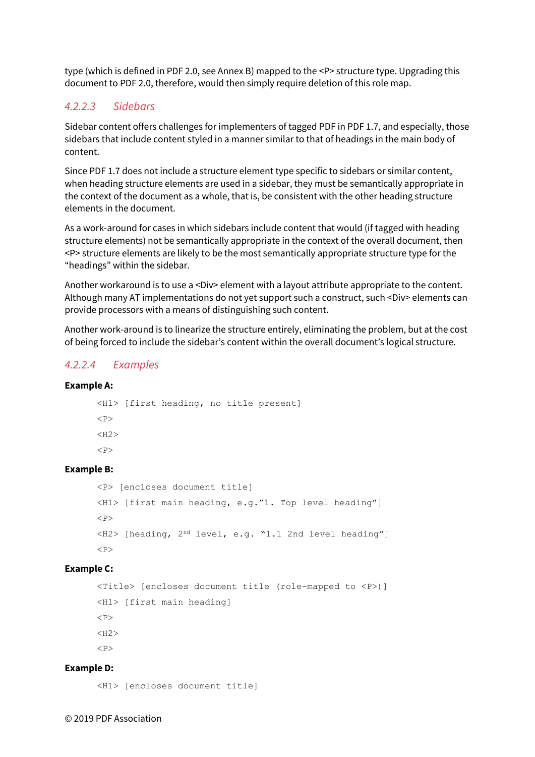type (which is defined in PDF 2.0, see Annex B) mapped to the <P> structure type. Upgrading this document to PDF 2.0, therefore, would then simply require deletion of this role map.

### *4.2.2.3 Sidebars*

Sidebar content offers challenges for implementers of tagged PDF in PDF 1.7, and especially, those sidebars that include content styled in a manner similar to that of headings in the main body of content.

Since PDF 1.7 does not include a structure element type specific to sidebars or similar content, when heading structure elements are used in a sidebar, they must be semantically appropriate in the context of the document as a whole, that is, be consistent with the other heading structure elements in the document.

As a work-around for cases in which sidebars include content that would (if tagged with heading structure elements) not be semantically appropriate in the context of the overall document, then <P> structure elements are likely to be the most semantically appropriate structure type for the "headings" within the sidebar.

Another workaround is to use a <Div> element with a layout attribute appropriate to the content. Although many AT implementations do not yet support such a construct, such <Div> elements can provide processors with a means of distinguishing such content.

Another work-around is to linearize the structure entirely, eliminating the problem, but at the cost of being forced to include the sidebar's content within the overall document's logical structure.

#### *4.2.2.4 Examples*

#### **Example A:**

<H1> [first heading, no title present]  $<sub>P</sub>$  $<$ H2 $>$  $P$ 

#### **Example B:**

```
<P> [encloses document title] 
<H1> [first main heading, e.g."1. Top level heading"] 
P<H2> [heading, 2nd level, e.g. "1.1 2nd level heading"] 
<br> <sub>P</sub>
```
#### **Example C:**

```
<Title> [encloses document title (role-mapped to <P>)] 
<H1> [first main heading] 
<br> <math>\langle P \rangle</math><H2>P
```
#### **Example D:**

<H1> [encloses document title]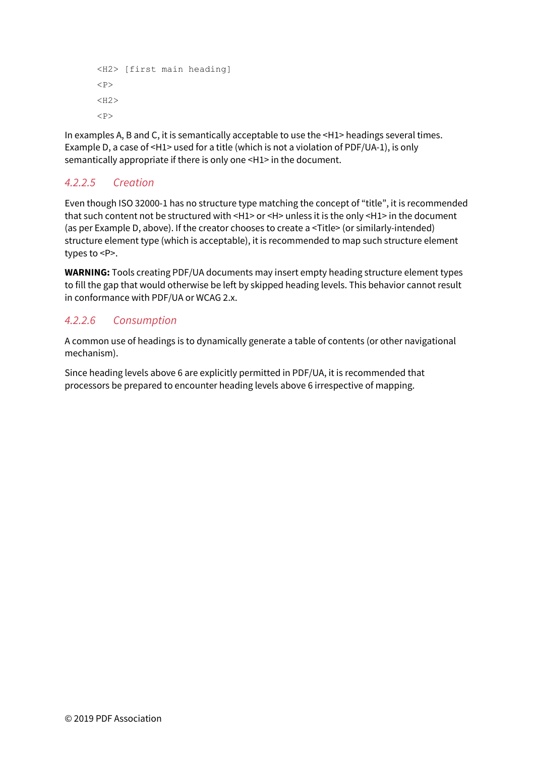```
<H2> [first main heading] 
<br> <sub>P</sub><H2>P
```
In examples A, B and C, it is semantically acceptable to use the <H1> headings several times. Example D, a case of <H1> used for a title (which is not a violation of PDF/UA-1), is only semantically appropriate if there is only one <H1> in the document.

# *4.2.2.5 Creation*

Even though ISO 32000-1 has no structure type matching the concept of "title", it is recommended that such content not be structured with <H1> or <H> unless it is the only <H1> in the document (as per Example D, above). If the creator chooses to create a <Title> (or similarly-intended) structure element type (which is acceptable), it is recommended to map such structure element types to <P>.

**WARNING:** Tools creating PDF/UA documents may insert empty heading structure element types to fill the gap that would otherwise be left by skipped heading levels. This behavior cannot result in conformance with PDF/UA or WCAG 2.x.

# *4.2.2.6 Consumption*

A common use of headings is to dynamically generate a table of contents (or other navigational mechanism).

Since heading levels above 6 are explicitly permitted in PDF/UA, it is recommended that processors be prepared to encounter heading levels above 6 irrespective of mapping.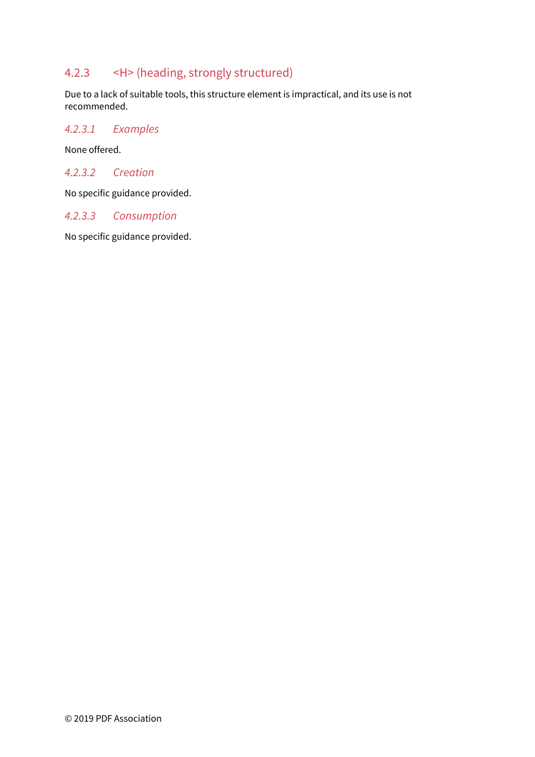# 4.2.3 <H> (heading, strongly structured)

Due to a lack of suitable tools, this structure element is impractical, and its use is not recommended.

#### *4.2.3.1 Examples*

None offered.

#### *4.2.3.2 Creation*

No specific guidance provided.

#### *4.2.3.3 Consumption*

No specific guidance provided.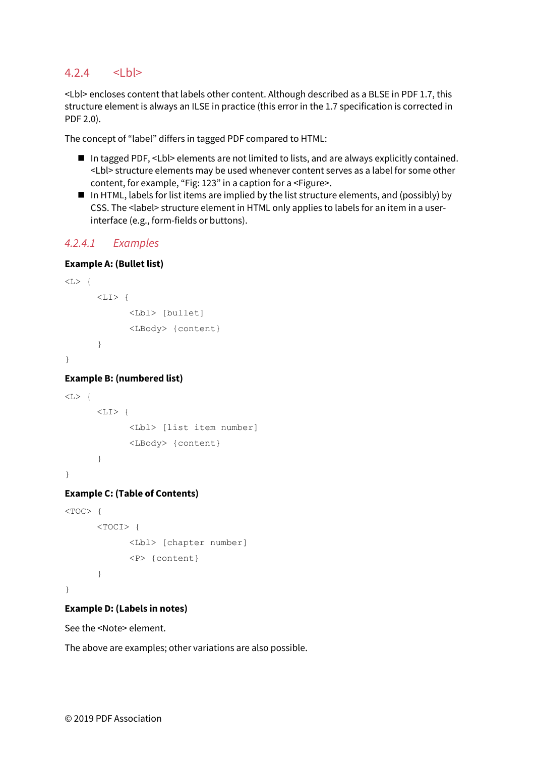### $4.2.4$   $<$ Lbl>

<Lbl> encloses content that labels other content. Although described as a BLSE in PDF 1.7, this structure element is always an ILSE in practice (this error in the 1.7 specification is corrected in PDF 2.0).

The concept of "label" differs in tagged PDF compared to HTML:

- In tagged PDF, <Lbl> elements are not limited to lists, and are always explicitly contained. <Lbl> structure elements may be used whenever content serves as a label for some other content, for example, "Fig: 123" in a caption for a <Figure>.
- In HTML, labels for list items are implied by the list structure elements, and (possibly) by CSS. The <label> structure element in HTML only applies to labels for an item in a userinterface (e.g., form-fields or buttons).

#### *4.2.4.1 Examples*

#### **Example A: (Bullet list)**

```
\langle L \rangle {
         \langleLI>\{ <Lbl> [bullet] 
                    <LBody> {content} 
         } 
}
```
#### **Example B: (numbered list)**

```
\langle L \rangle {
         \langle T,T \rangle <Lbl> [list item number] 
                    <LBody> {content} 
          } 
}
```
#### **Example C: (Table of Contents)**

```
< TOC> {
        <TOCI> { 
               <Lbl> [chapter number] 
               <P> {content} 
       } 
}
```
#### **Example D: (Labels in notes)**

See th[e <Note> e](#page-33-0)lement.

The above are examples; other variations are also possible.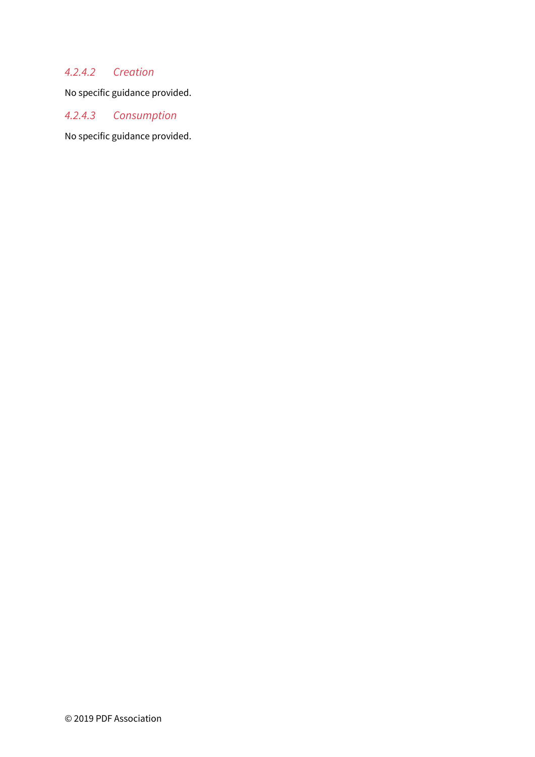# *4.2.4.2 Creation*

No specific guidance provided.

# *4.2.4.3 Consumption*

No specific guidance provided.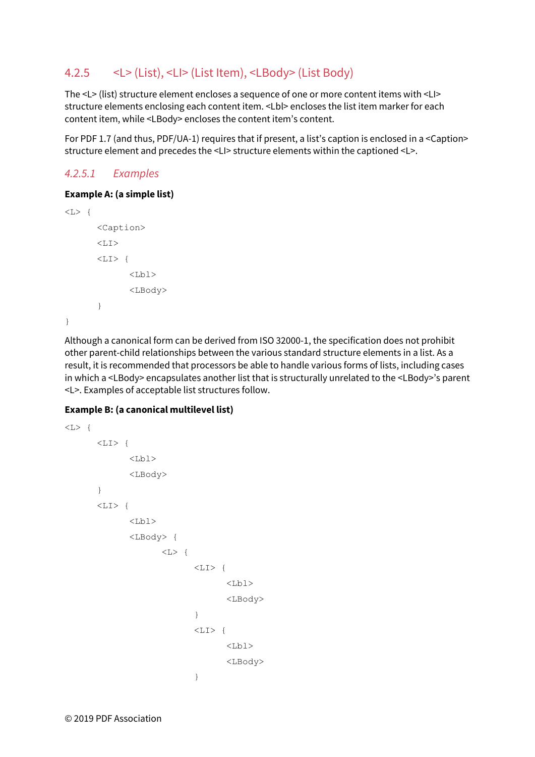# 4.2.5 <L> (List), <LI> (List Item), <LBody> (List Body)

The <L> (list) structure element encloses a sequence of one or more content items with <LI> structure elements enclosing each content item. <Lbl> encloses the list item marker for each content item, while <LBody> encloses the content item's content.

For PDF 1.7 (and thus, PDF/UA-1) requires that if present, a list's caption is enclosed in a <Caption> structure element and precedes the <LI> structure elements within the captioned <L>.

### *4.2.5.1 Examples*

#### **Example A: (a simple list)**

```
\langle L \rangle {
             <Caption> 
            \langle T, T \rangle\langleLI> {
                        <Lb1>
                         <LBody> 
            } 
}
```
Although a canonical form can be derived from ISO 32000-1, the specification does not prohibit other parent-child relationships between the various standard structure elements in a list. As a result, it is recommended that processors be able to handle various forms of lists, including cases in which a <LBody> encapsulates another list that is structurally unrelated to the <LBody>'s parent <L>. Examples of acceptable list structures follow.

#### **Example B: (a canonical multilevel list)**

```
\langle L \rangle {
           \langleLI>{
                     <Lb1>
                      <LBody> 
           } 
           <LI> {
                     <Lbl>
                      <LBody> { 
                                 \langle L \rangle {
                                            \langle LI \rangle {
                                                       <Lb1>
                                                        <LBody> 
                                            } 
                                            \langle LI \rangle {
                                                       <Lb1>
                                                        <LBody> 
                                            }
```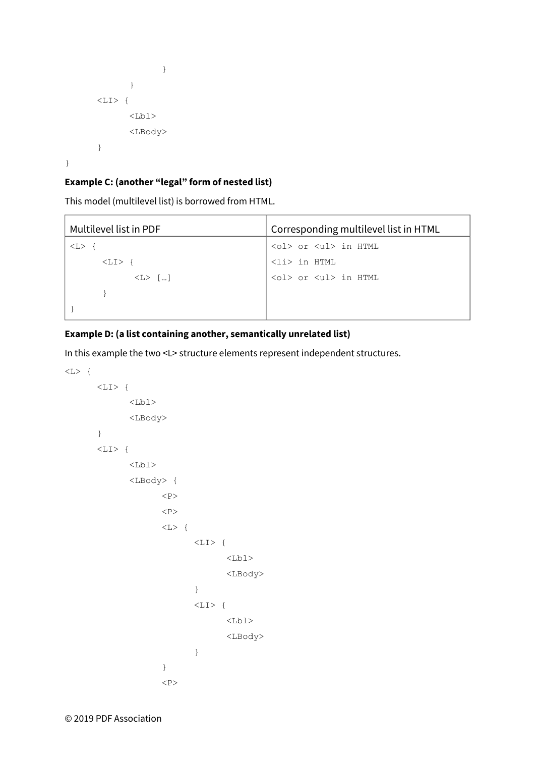```
 } 
 } 
     \langle LI \rangle {
          <Lb1>
           <LBody> 
     } 
}
```
 $\overline{1}$ 

#### **Example C: (another "legal" form of nested list)**

This model (multilevel list) is borrowed from HTML.

| Multilevel list in PDF | Corresponding multilevel list in HTML  |
|------------------------|----------------------------------------|
| $<\scriptstyle\rm L>$  | <ol> or <ul> in HTML</ul></ol>         |
| $<$ $\text{L1}$ $>$    | <li> in HTML</li>                      |
| $\langle L \rangle$ [] | $\langle$ ol> or $\langle$ ul> in HTML |
|                        |                                        |
|                        |                                        |

#### **Example D: (a list containing another, semantically unrelated list)**

In this example the two <L> structure elements represent independent structures.

```
\langle L \rangle {
            \langle L1 \rangle {
                       <Lb1>
                        <LBody> 
            } 
            \langle L1 \rangle {
                       <Lb1>
                         <LBody> { 
                                   <br> <math>\text{P}</math><br> <math>\text{P}</math>\langle L \rangle {
                                               \langleLI> {
                                                           <Lb1>
                                                            <LBody> 
                                                } 
                                                \langle LI \rangle {
                                                           <Lb1>
                                                            <LBody> 
                                                } 
 } 
                                    <br> <sub>P</sub>
```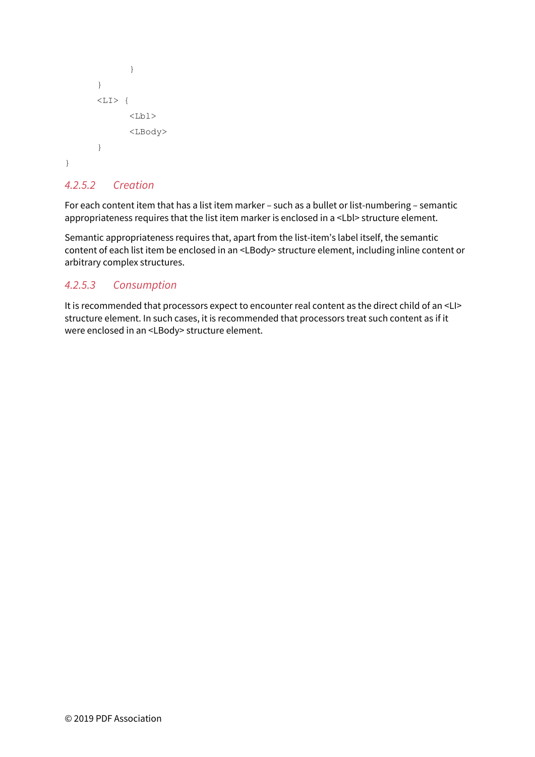```
 } 
         } 
        <LI>{
                <Lb1>
                 <LBody> 
        } 
}
```
### *4.2.5.2 Creation*

For each content item that has a list item marker – such as a bullet or list-numbering – semantic appropriateness requires that the list item marker is enclosed in a <Lbl> structure element.

Semantic appropriateness requires that, apart from the list-item's label itself, the semantic content of each list item be enclosed in an <LBody> structure element, including inline content or arbitrary complex structures.

### *4.2.5.3 Consumption*

It is recommended that processors expect to encounter real content as the direct child of an <LI> structure element. In such cases, it is recommended that processors treat such content as if it were enclosed in an <LBody> structure element.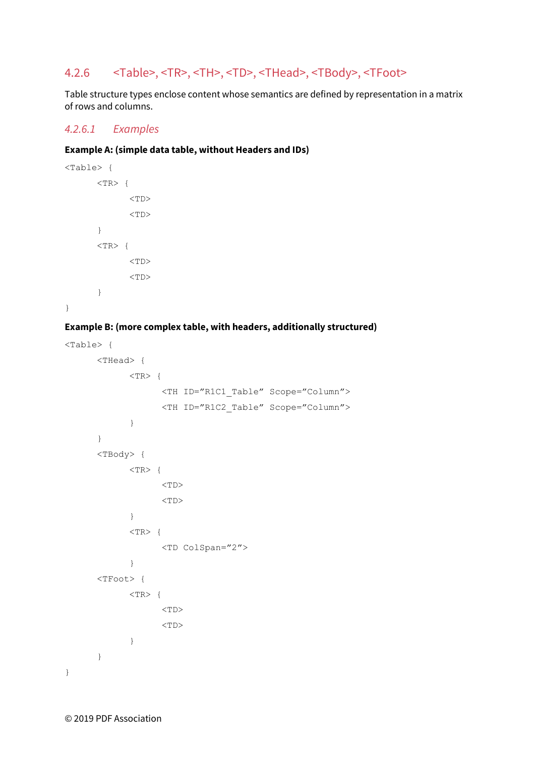# 4.2.6 <Table>, <TR>, <TH>, <TD>, <THead>, <TBody>, <TFoot>

Table structure types enclose content whose semantics are defined by representation in a matrix of rows and columns.

#### *4.2.6.1 Examples*

#### **Example A: (simple data table, without Headers and IDs)**

```
<Table> { 
      <TR> {
            <TD><TD>} 
      <TR> {
            <TD><TD>} 
}
```
#### **Example B: (more complex table, with headers, additionally structured)**

```
<Table> { 
       <THead> { 
             <TR>{
                     <TH ID="R1C1_Table" Scope="Column"> 
                     <TH ID="R1C2_Table" Scope="Column"> 
             } 
        } 
       <TBody> { 
             <TR> {
                     <TD> 
                    <TD>} 
             <TR> {
                     <TD ColSpan="2"> 
             } 
       <TFoot> { 
             <TR>{
                    <TD><TD>} 
       } 
}
```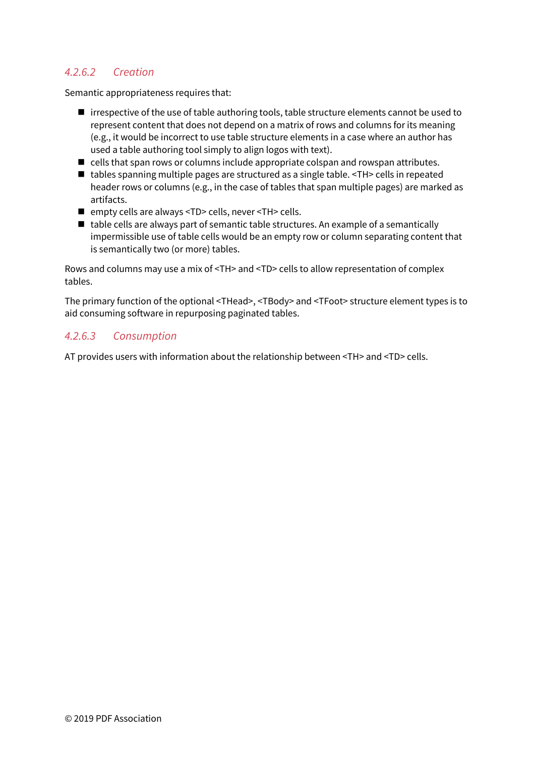# *4.2.6.2 Creation*

Semantic appropriateness requires that:

- irrespective of the use of table authoring tools, table structure elements cannot be used to represent content that does not depend on a matrix of rows and columns for its meaning (e.g., it would be incorrect to use table structure elements in a case where an author has used a table authoring tool simply to align logos with text).
- cells that span rows or columns include appropriate colspan and rowspan attributes.
- tables spanning multiple pages are structured as a single table. <TH> cells in repeated header rows or columns (e.g., in the case of tables that span multiple pages) are marked as artifacts.
- empty cells are always <TD> cells, never <TH> cells.
- table cells are always part of semantic table structures. An example of a semantically impermissible use of table cells would be an empty row or column separating content that is semantically two (or more) tables.

Rows and columns may use a mix of <TH> and <TD> cells to allow representation of complex tables.

The primary function of the optional <THead>, <TBody> and <TFoot> structure element types is to aid consuming software in repurposing paginated tables.

### *4.2.6.3 Consumption*

AT provides users with information about the relationship between <TH> and <TD> cells.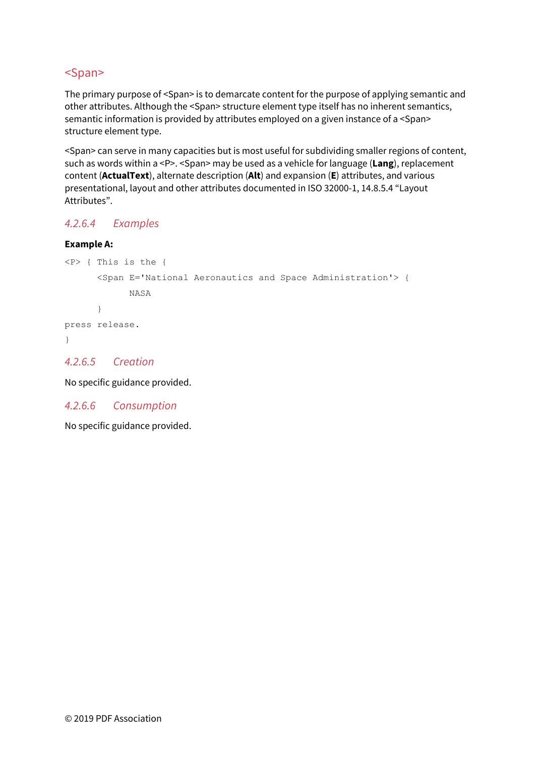# <Span>

The primary purpose of <Span> is to demarcate content for the purpose of applying semantic and other attributes. Although the <Span> structure element type itself has no inherent semantics, semantic information is provided by attributes employed on a given instance of a <Span> structure element type.

<Span> can serve in many capacities but is most useful for subdividing smaller regions of content, such as words within a <P>. <Span> may be used as a vehicle for language (**Lang**), replacement content (**ActualText**), alternate description (**Alt**) and expansion (**E**) attributes, and various presentational, layout and other attributes documented in ISO 32000-1, 14.8.5.4 "Layout Attributes".

# *4.2.6.4 Examples*

#### **Example A:**

```
<P> { This is the { 
       <Span E='National Aeronautics and Space Administration'> { 
              NASA 
      } 
press release. 
}
```
*4.2.6.5 Creation* 

No specific guidance provided.

*4.2.6.6 Consumption* 

No specific guidance provided.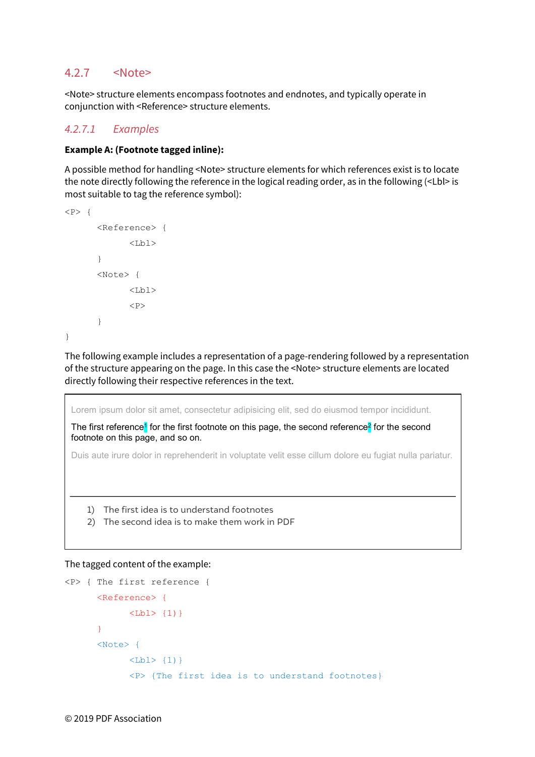### <span id="page-33-0"></span>4.2.7 <Note>

<Note> structure elements encompass footnotes and endnotes, and typically operate in conjunction with <Reference> structure elements.

#### *4.2.7.1 Examples*

#### **Example A: (Footnote tagged inline):**

A possible method for handling <Note> structure elements for which references exist is to locate the note directly following the reference in the logical reading order, as in the following (<Lbl> is most suitable to tag the reference symbol):

```
<br> <math>\langle P \rangle</math> { <Reference> { 
                           <Lbl>
             } 
             <Note> { 
                           <Lb1>
                           <br> <math>\leq</math> P} 
}
```
The following example includes a representation of a page-rendering followed by a representation of the structure appearing on the page. In this case the <Note> structure elements are located directly following their respective references in the text.

Lorem ipsum dolor sit amet, consectetur adipisicing elit, sed do eiusmod tempor incididunt.

The first reference<sup>1</sup> for the first footnote on this page, the second reference<sup>2</sup> for the second footnote on this page, and so on.

Duis aute irure dolor in reprehenderit in voluptate velit esse cillum dolore eu fugiat nulla pariatur.

- 1) The first idea is to understand footnotes
- 2) The second idea is to make them work in PDF

#### The tagged content of the example:

```
<P> { The first reference { 
      <Reference> { 
            <Lbl> {1) }
      } 
      <Note> { 
            <Lbl>\{1\}}
            <P> {The first idea is to understand footnotes}
```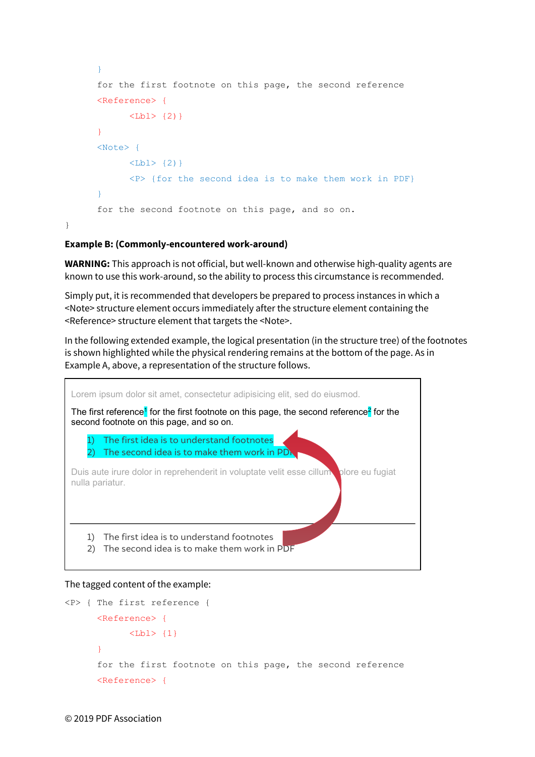```
} 
for the first footnote on this page, the second reference 
<Reference> { 
      <Lbl> \{2\}} 
<Note> { 
      <Lbl> \{2\}<P> {for the second idea is to make them work in PDF} 
} 
for the second footnote on this page, and so on.
```
#### **Example B: (Commonly-encountered work-around)**

}

**WARNING:** This approach is not official, but well-known and otherwise high-quality agents are known to use this work-around, so the ability to process this circumstance is recommended.

Simply put, it is recommended that developers be prepared to process instances in which a <Note> structure element occurs immediately after the structure element containing the <Reference> structure element that targets the <Note>.

In the following extended example, the logical presentation (in the structure tree) of the footnotes is shown highlighted while the physical rendering remains at the bottom of the page. As in Example A, above, a representation of the structure follows.



#### The tagged content of the example:

```
<P> { The first reference { 
      <Reference> { 
            <Lbl>\{1\}} 
      for the first footnote on this page, the second reference 
      <Reference> {
```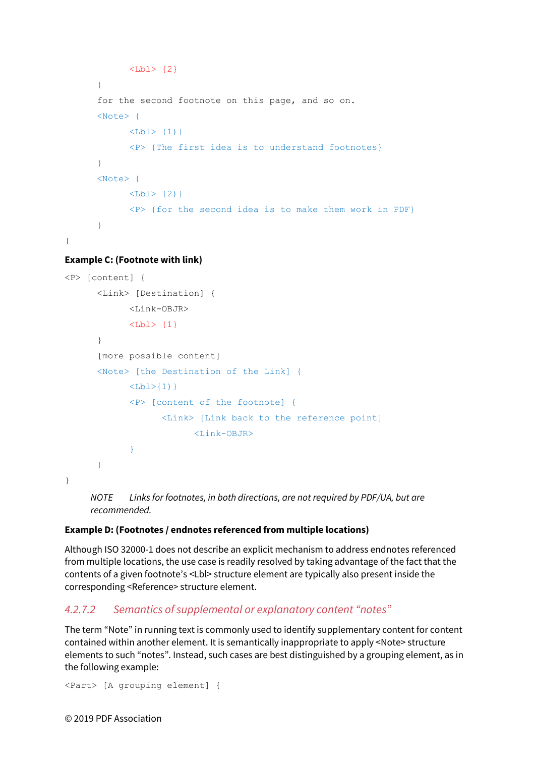```
<Lbl> {2} 
      } 
      for the second footnote on this page, and so on. 
      <Note> { 
            <Lbl>\{1\}}
            <P> {The first idea is to understand footnotes} 
      } 
      <Note> { 
            <Lbl> \{2\}<P> {for the second idea is to make them work in PDF} 
      } 
}
```
**Example C: (Footnote with link)** 

```
<P> [content] { 
       <Link> [Destination] { 
             \langleLink-OBJR>
             <Lbl>\{1\} } 
       [more possible content] 
      <Note> [the Destination of the Link] { 
             <Lbl>{1)}
             <P> [content of the footnote] { 
                     <Link> [Link back to the reference point] 
                          <Link-OBJR> 
             } 
       } 
}
```
*NOTE Links for footnotes, in both directions, are not required by PDF/UA, but are recommended.* 

#### **Example D: (Footnotes / endnotes referenced from multiple locations)**

Although ISO 32000-1 does not describe an explicit mechanism to address endnotes referenced from multiple locations, the use case is readily resolved by taking advantage of the fact that the contents of a given footnote's <Lbl> structure element are typically also present inside the corresponding <Reference> structure element.

### *4.2.7.2 Semantics of supplemental or explanatory content "notes"*

The term "Note" in running text is commonly used to identify supplementary content for content contained within another element. It is semantically inappropriate to apply <Note> structure elements to such "notes". Instead, such cases are best distinguished by a grouping element, as in the following example:

```
<Part> [A grouping element] {
```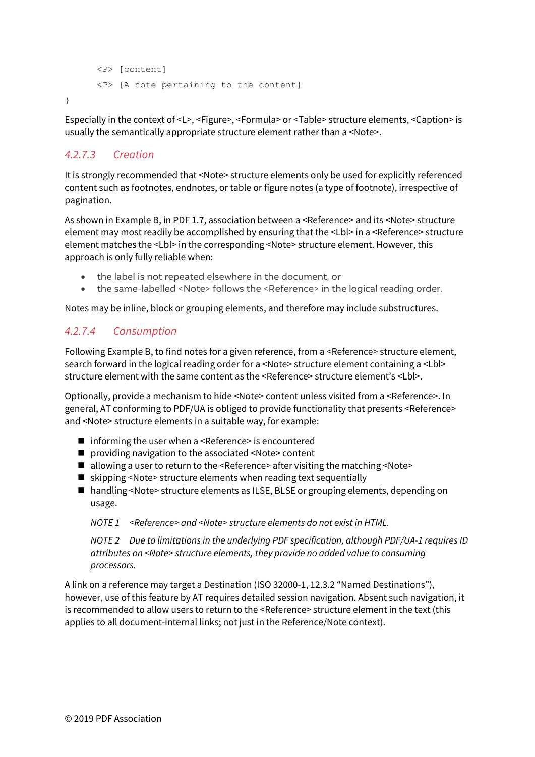```
 <P> [content] 
 <P> [A note pertaining to the content]
```
Especially in the context of <L>, <Figure>, <Formula> or <Table> structure elements, <Caption> is usually the semantically appropriate structure element rather than a <Note>.

# *4.2.7.3 Creation*

}

It is strongly recommended that <Note> structure elements only be used for explicitly referenced content such as footnotes, endnotes, or table or figure notes (a type of footnote), irrespective of pagination.

As shown in Example B, in PDF 1.7, association between a <Reference> and its <Note> structure element may most readily be accomplished by ensuring that the <Lbl> in a <Reference> structure element matches the <Lbl> in the corresponding <Note> structure element. However, this approach is only fully reliable when:

- the label is not repeated elsewhere in the document, or
- the same-labelled <Note> follows the <Reference> in the logical reading order.

Notes may be inline, block or grouping elements, and therefore may include substructures.

# *4.2.7.4 Consumption*

Following Example B, to find notes for a given reference, from a <Reference> structure element, search forward in the logical reading order for a <Note> structure element containing a <Lbl> structure element with the same content as the <Reference> structure element's <Lbl>.

Optionally, provide a mechanism to hide <Note> content unless visited from a <Reference>. In general, AT conforming to PDF/UA is obliged to provide functionality that presents <Reference> and <Note> structure elements in a suitable way, for example:

- informing the user when a <Reference> is encountered
- providing navigation to the associated <Note> content
- $\blacksquare$  allowing a user to return to the <Reference> after visiting the matching <Note>
- $\blacksquare$  skipping <Note> structure elements when reading text sequentially
- handling <Note> structure elements as ILSE, BLSE or grouping elements, depending on usage.

*NOTE 1 <Reference> and <Note> structure elements do not exist in HTML.* 

*NOTE 2 Due to limitations in the underlying PDF specification, although PDF/UA-1 requires ID attributes on <Note> structure elements, they provide no added value to consuming processors.* 

A link on a reference may target a Destination (ISO 32000-1, 12.3.2 "Named Destinations"), however, use of this feature by AT requires detailed session navigation. Absent such navigation, it is recommended to allow users to return to the <Reference> structure element in the text (this applies to all document-internal links; not just in the Reference/Note context).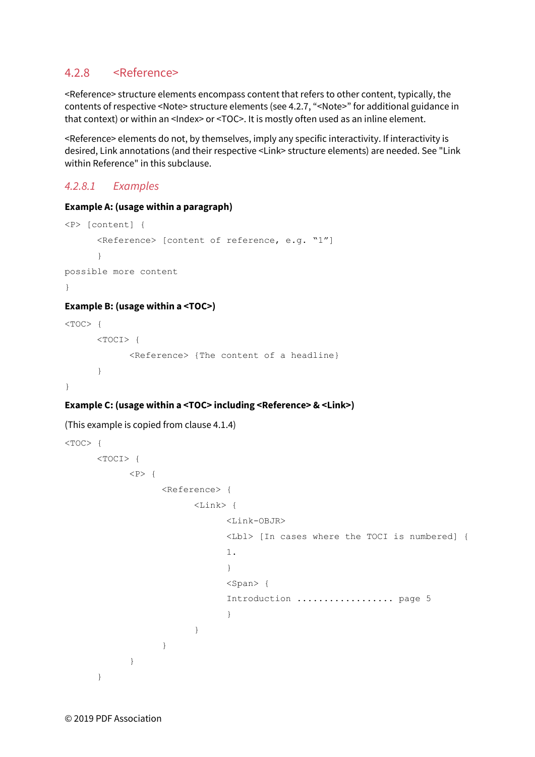### 4.2.8 <Reference>

<Reference> structure elements encompass content that refers to other content, typically, the contents of respective <Note> structure elements (se[e 4.2.7,](#page-33-0) ["<Note>"](#page-33-0) for additional guidance in that context) or within an <Index> or <TOC>. It is mostly often used as an inline element.

<Reference> elements do not, by themselves, imply any specific interactivity. If interactivity is desired, Link annotations (and their respective <Link> structure elements) are needed. See "Link within Reference" in this subclause.

### *4.2.8.1 Examples*

#### **Example A: (usage within a paragraph)**

```
<P> [content] { 
      <Reference> [content of reference, e.g. "1"] 
      } 
possible more content 
}
```
#### **Example B: (usage within a <TOC>)**

```
<TOC> {
       <TOCI> { 
             <Reference> {The content of a headline} 
      } 
}
```
#### **Example C: (usage within a <TOC> including <Reference> & <Link>)**

#### (This example is copied from claus[e 4.1.4\)](#page-14-0)

```
< TOC> {
     <TOCI> { 
        <br> <math>\langle P \rangle</math> { <Reference> { 
                  <Link> { 
                       <Link-OBJR> 
                       <Lbl> [In cases where the TOCI is numbered] { 
1.1.1 } 
                       <Span> { 
                       Introduction .................. page 5 
 } 
 } 
 } 
 } 
     }
```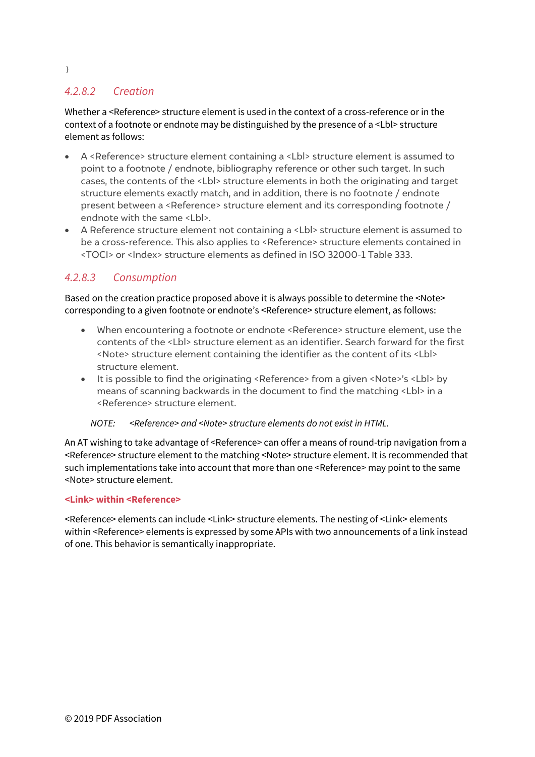# *4.2.8.2 Creation*

Whether a <Reference> structure element is used in the context of a cross-reference or in the context of a footnote or endnote may be distinguished by the presence of a <Lbl> structure element as follows:

- A <Reference> structure element containing a <Lbl> structure element is assumed to point to a footnote / endnote, bibliography reference or other such target. In such cases, the contents of the <Lbl> structure elements in both the originating and target structure elements exactly match, and in addition, there is no footnote / endnote present between a <Reference> structure element and its corresponding footnote / endnote with the same <Lbl>.
- A Reference structure element not containing a <Lbl> structure element is assumed to be a cross-reference. This also applies to <Reference> structure elements contained in <TOCI> or <Index> structure elements as defined in ISO 32000-1 Table 333.

### *4.2.8.3 Consumption*

Based on the creation practice proposed above it is always possible to determine the <Note> corresponding to a given footnote or endnote's <Reference> structure element, as follows:

- When encountering a footnote or endnote <Reference> structure element, use the contents of the <Lbl> structure element as an identifier. Search forward for the first <Note> structure element containing the identifier as the content of its <Lbl> structure element.
- It is possible to find the originating <Reference> from a given <Note>'s <Lbl> by means of scanning backwards in the document to find the matching <Lbl> in a <Reference> structure element.

#### *NOTE: <Reference> and <Note> structure elements do not exist in HTML.*

An AT wishing to take advantage of <Reference> can offer a means of round-trip navigation from a <Reference> structure element to the matching <Note> structure element. It is recommended that such implementations take into account that more than one <Reference> may point to the same <Note> structure element.

#### **<Link> within <Reference>**

<Reference> elements can include <Link> structure elements. The nesting of <Link> elements within <Reference> elements is expressed by some APIs with two announcements of a link instead of one. This behavior is semantically inappropriate.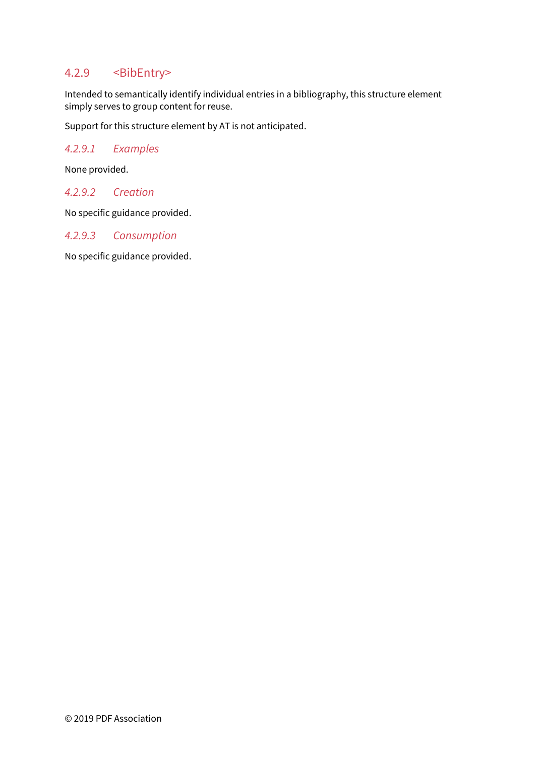# 4.2.9 <BibEntry>

Intended to semantically identify individual entries in a bibliography, this structure element simply serves to group content for reuse.

Support for this structure element by AT is not anticipated.

#### *4.2.9.1 Examples*

None provided.

#### *4.2.9.2 Creation*

No specific guidance provided.

#### *4.2.9.3 Consumption*

No specific guidance provided.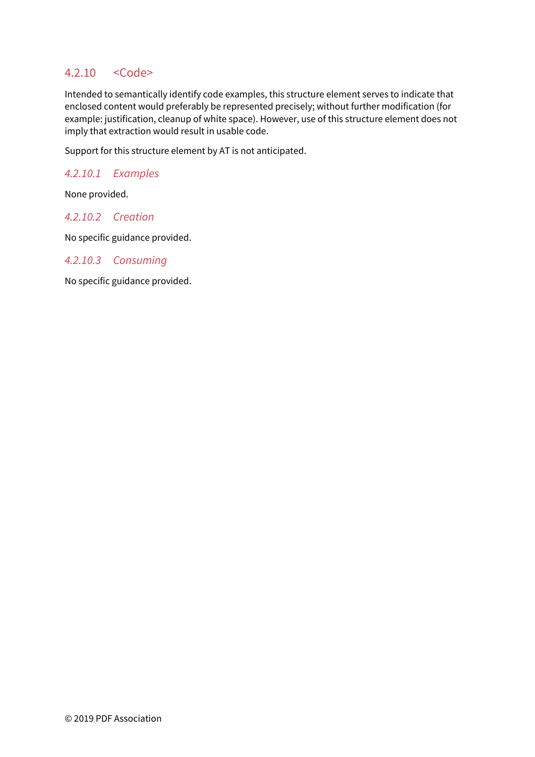# 4.2.10 <Code>

Intended to semantically identify code examples, this structure element serves to indicate that enclosed content would preferably be represented precisely; without further modification (for example: justification, cleanup of white space). However, use of this structure element does not imply that extraction would result in usable code.

Support for this structure element by AT is not anticipated.

#### *4.2.10.1 Examples*

None provided.

### *4.2.10.2 Creation*

No specific guidance provided.

#### *4.2.10.3 Consuming*

No specific guidance provided.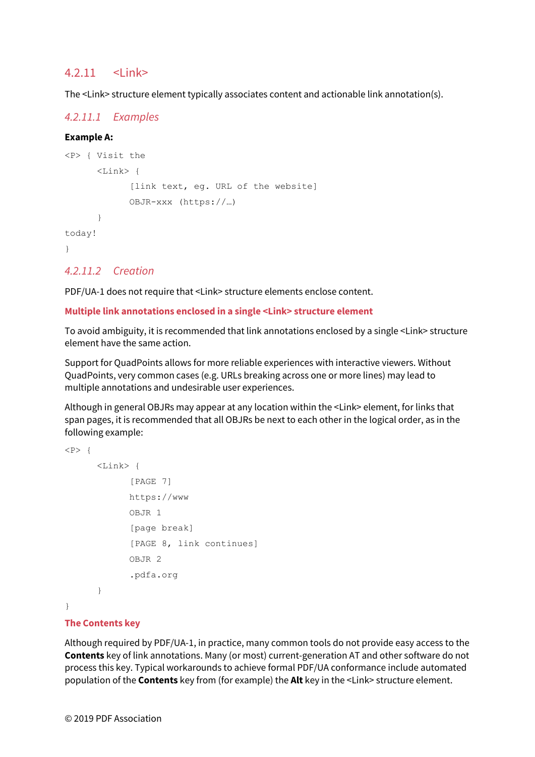### $4.211$   $\le$  link>

The <Link> structure element typically associates content and actionable link annotation(s).

#### *4.2.11.1 Examples*

#### **Example A:**

```
<P> { Visit the 
        <Link> { 
               [link text, eg. URL of the website] 
              OBJR-xxx (https://…) 
       } 
today! 
}
```
#### *4.2.11.2 Creation*

PDF/UA-1 does not require that <Link> structure elements enclose content.

#### **Multiple link annotations enclosed in a single <Link> structure element**

To avoid ambiguity, it is recommended that link annotations enclosed by a single <Link> structure element have the same action.

Support for QuadPoints allows for more reliable experiences with interactive viewers. Without QuadPoints, very common cases (e.g. URLs breaking across one or more lines) may lead to multiple annotations and undesirable user experiences.

Although in general OBJRs may appear at any location within the <Link> element, for links that span pages, it is recommended that all OBJRs be next to each other in the logical order, as in the following example:

```
<br> <math>\langle P \rangle</math> { <Link> { 
                  [PAGE 7] 
                   https://www 
                   OBJR 1 
                  [page break] 
                  [PAGE 8, link continues] 
                  OBJR 2 
                   .pdfa.org 
         }
```
}

#### **The Contents key**

Although required by PDF/UA-1, in practice, many common tools do not provide easy access to the **Contents** key of link annotations. Many (or most) current-generation AT and other software do not process this key. Typical workarounds to achieve formal PDF/UA conformance include automated population of the **Contents** key from (for example) the **Alt** key in the <Link> structure element.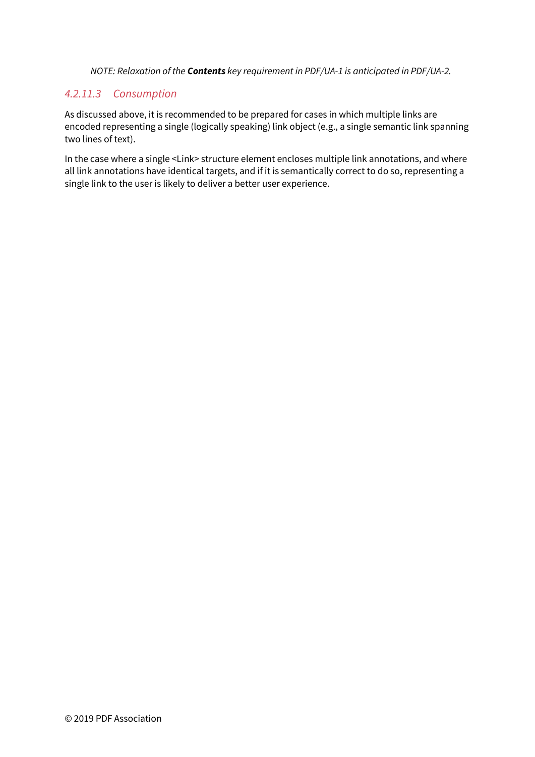*NOTE: Relaxation of the Contents key requirement in PDF/UA-1 is anticipated in PDF/UA-2.* 

#### *4.2.11.3 Consumption*

As discussed above, it is recommended to be prepared for cases in which multiple links are encoded representing a single (logically speaking) link object (e.g., a single semantic link spanning two lines of text).

In the case where a single <Link> structure element encloses multiple link annotations, and where all link annotations have identical targets, and if it is semantically correct to do so, representing a single link to the user is likely to deliver a better user experience.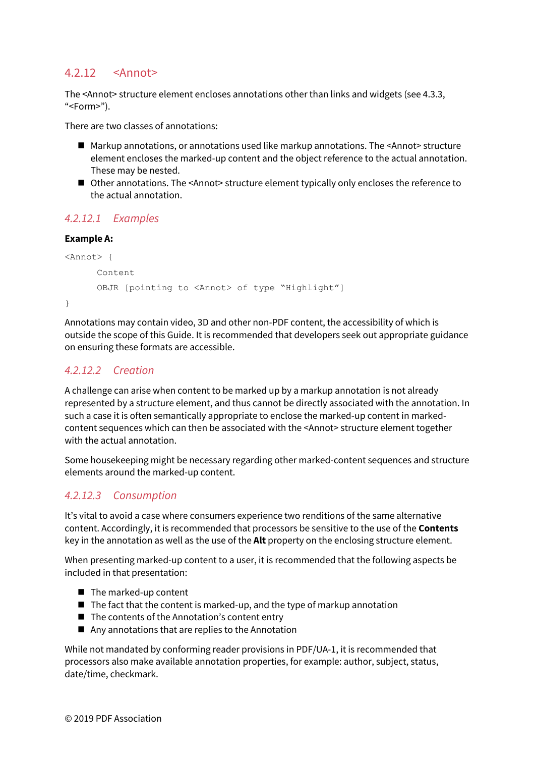# 4.2.12 <Annot>

The <Annot> structure element encloses annotations other than links and widgets (se[e 4.3.3,](#page-49-0)  $"$  <Form  $"$ ).

There are two classes of annotations:

- Markup annotations, or annotations used like markup annotations. The <Annot> structure element encloses the marked-up content and the object reference to the actual annotation. These may be nested.
- Other annotations. The <Annot> structure element typically only encloses the reference to the actual annotation.

### *4.2.12.1 Examples*

#### **Example A:**

```
<Annot> { 
       Content 
       OBJR [pointing to <Annot> of type "Highlight"] 
}
```
Annotations may contain video, 3D and other non-PDF content, the accessibility of which is outside the scope of this Guide. It is recommended that developers seek out appropriate guidance on ensuring these formats are accessible.

### *4.2.12.2 Creation*

A challenge can arise when content to be marked up by a markup annotation is not already represented by a structure element, and thus cannot be directly associated with the annotation. In such a case it is often semantically appropriate to enclose the marked-up content in markedcontent sequences which can then be associated with the <Annot> structure element together with the actual annotation.

Some housekeeping might be necessary regarding other marked-content sequences and structure elements around the marked-up content.

### *4.2.12.3 Consumption*

It's vital to avoid a case where consumers experience two renditions of the same alternative content. Accordingly, it is recommended that processors be sensitive to the use of the **Contents** key in the annotation as well as the use of the **Alt** property on the enclosing structure element.

When presenting marked-up content to a user, it is recommended that the following aspects be included in that presentation:

- $\blacksquare$  The marked-up content
- $\blacksquare$  The fact that the content is marked-up, and the type of markup annotation
- The contents of the Annotation's content entry
- $\blacksquare$  Any annotations that are replies to the Annotation

While not mandated by conforming reader provisions in PDF/UA-1, it is recommended that processors also make available annotation properties, for example: author, subject, status, date/time, checkmark.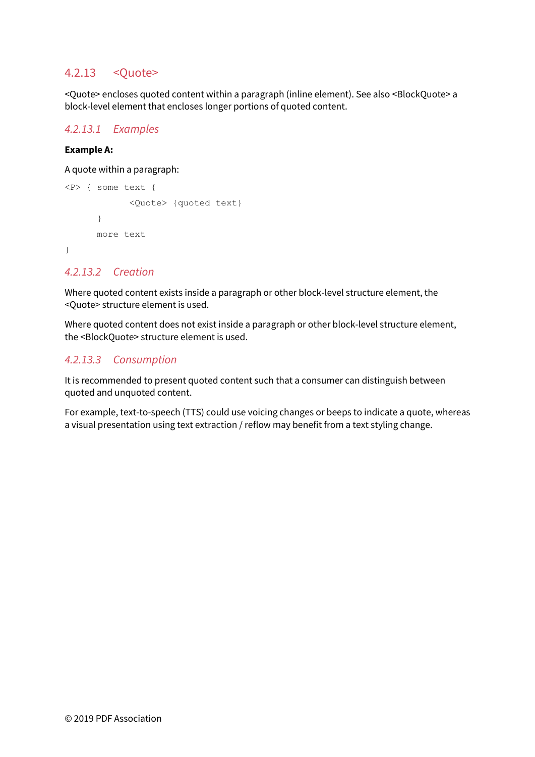# 4.2.13 <Quote>

<Quote> encloses quoted content within a paragraph (inline element). See also <BlockQuote> a block-level element that encloses longer portions of quoted content.

#### *4.2.13.1 Examples*

#### **Example A:**

A quote within a paragraph:

```
<P> { some text { 
             <Quote> {quoted text} 
       } 
      more text 
}
```
#### *4.2.13.2 Creation*

Where quoted content exists inside a paragraph or other block-level structure element, the <Quote> structure element is used.

Where quoted content does not exist inside a paragraph or other block-level structure element, the <BlockQuote> structure element is used.

### *4.2.13.3 Consumption*

It is recommended to present quoted content such that a consumer can distinguish between quoted and unquoted content.

For example, text-to-speech (TTS) could use voicing changes or beeps to indicate a quote, whereas a visual presentation using text extraction / reflow may benefit from a text styling change.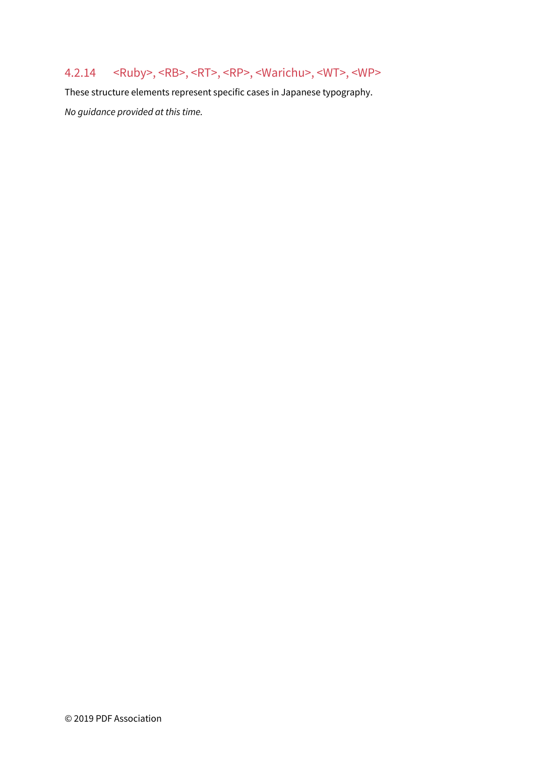# 4.2.14 <Ruby>, <RB>, <RT>, <RP>, <Warichu>, <WT>, <WP>

These structure elements represent specific cases in Japanese typography. *No guidance provided at this time.*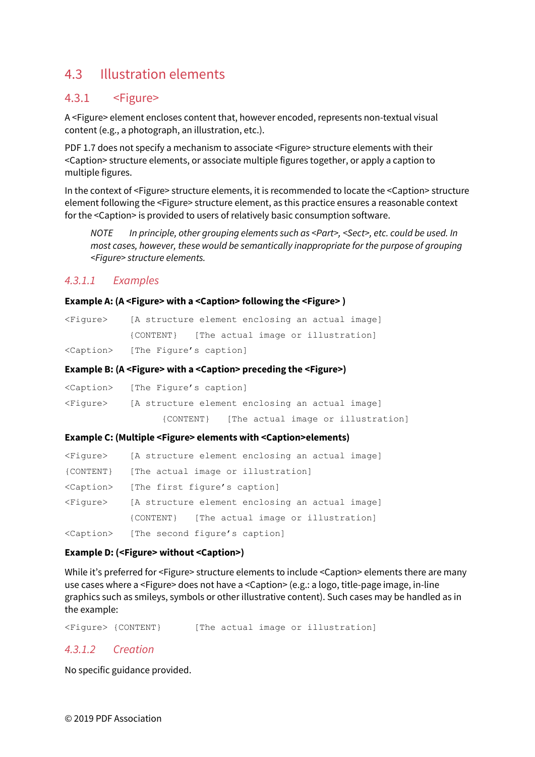# <span id="page-46-0"></span>4.3 Illustration elements

# 4.3.1 <Figure>

A <Figure> element encloses content that, however encoded, represents non-textual visual content (e.g., a photograph, an illustration, etc.).

PDF 1.7 does not specify a mechanism to associate <Figure> structure elements with their <Caption> structure elements, or associate multiple figures together, or apply a caption to multiple figures.

In the context of <Figure> structure elements, it is recommended to locate the <Caption> structure element following the <Figure> structure element, as this practice ensures a reasonable context for the <Caption> is provided to users of relatively basic consumption software.

*NOTE In principle, other grouping elements such as <Part>, <Sect>, etc. could be used. In most cases, however, these would be semantically inappropriate for the purpose of grouping <Figure> structure elements.* 

### *4.3.1.1 Examples*

#### **Example A: (A <Figure> with a <Caption> following the <Figure> )**

| <fiqure></fiqure> | [A structure element enclosing an actual image] |  |
|-------------------|-------------------------------------------------|--|
|                   | {CONTENT} [The actual image or illustration]    |  |
|                   | <caption> [The Figure's caption]</caption>      |  |

#### **Example B: (A <Figure> with a <Caption> preceding the <Figure>)**

|                   | <caption> [The Figure's caption]</caption>      |  |  |
|-------------------|-------------------------------------------------|--|--|
| <fiqure></fiqure> | [A structure element enclosing an actual image] |  |  |
|                   | [The actual image or illustration]<br>{CONTENT} |  |  |

#### **Example C: (Multiple <Figure> elements with <Caption>elements)**

| <fiqure></fiqure>   | [A structure element enclosing an actual image] |  |  |
|---------------------|-------------------------------------------------|--|--|
| {CONTENT}           | [The actual image or illustration]              |  |  |
| <caption></caption> | [The first figure's caption]                    |  |  |
| <fiqure></fiqure>   | [A structure element enclosing an actual image] |  |  |
|                     | {CONTENT} [The actual image or illustration]    |  |  |
| <caption></caption> | [The second figure's caption]                   |  |  |

#### **Example D: (<Figure> without <Caption>)**

While it's preferred for <Figure> structure elements to include <Caption> elements there are many use cases where a <Figure> does not have a <Caption> (e.g.: a logo, title-page image, in-line graphics such as smileys, symbols or other illustrative content). Such cases may be handled as in the example:

<Figure> {CONTENT} [The actual image or illustration]

#### *4.3.1.2 Creation*

No specific guidance provided.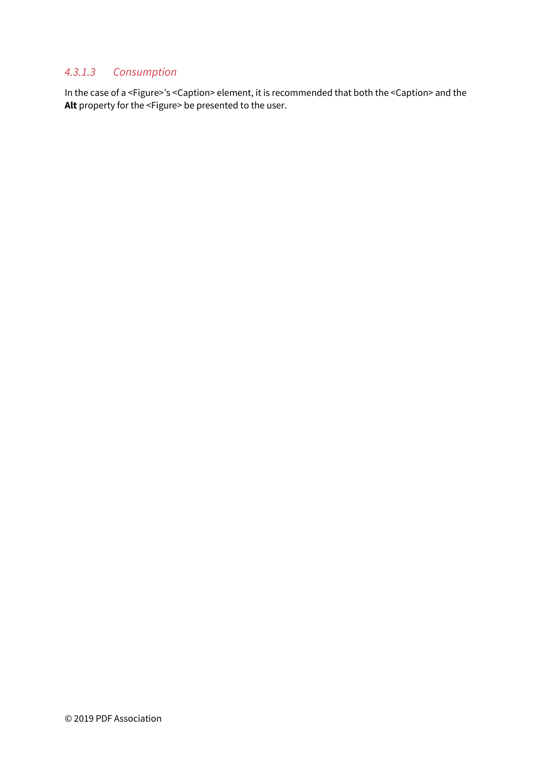### *4.3.1.3 Consumption*

In the case of a <Figure>'s <Caption> element, it is recommended that both the <Caption> and the **Alt** property for the <Figure> be presented to the user.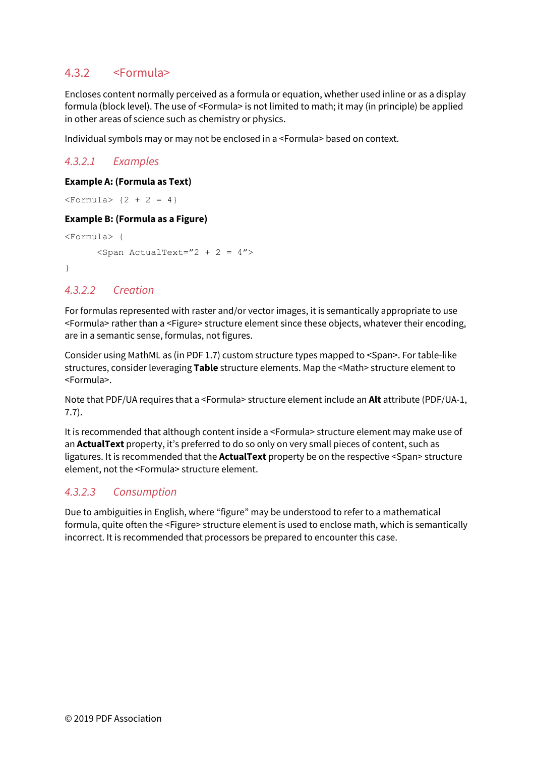# 4.3.2 <Formula>

Encloses content normally perceived as a formula or equation, whether used inline or as a display formula (block level). The use of <Formula> is not limited to math; it may (in principle) be applied in other areas of science such as chemistry or physics.

Individual symbols may or may not be enclosed in a <Formula> based on context.

# *4.3.2.1 Examples*

#### **Example A: (Formula as Text)**

 $<$ Formula>  $\{2 + 2 = 4\}$ 

#### **Example B: (Formula as a Figure)**

```
<Formula> { 
        \text{Span} \text{ActualText} = "2 + 2 = 4"}
```
# *4.3.2.2 Creation*

For formulas represented with raster and/or vector images, it is semantically appropriate to use <Formula> rather than a <Figure> structure element since these objects, whatever their encoding, are in a semantic sense, formulas, not figures.

Consider using MathML as (in PDF 1.7) custom structure types mapped to <Span>. For table-like structures, consider leveraging **Table** structure elements. Map the <Math> structure element to <Formula>.

Note that PDF/UA requires that a <Formula> structure element include an **Alt** attribute (PDF/UA-1, 7.7).

It is recommended that although content inside a <Formula> structure element may make use of an **ActualText** property, it's preferred to do so only on very small pieces of content, such as ligatures. It is recommended that the **ActualText** property be on the respective <Span> structure element, not the <Formula> structure element.

### *4.3.2.3 Consumption*

Due to ambiguities in English, where "figure" may be understood to refer to a mathematical formula, quite often the <Figure> structure element is used to enclose math, which is semantically incorrect. It is recommended that processors be prepared to encounter this case.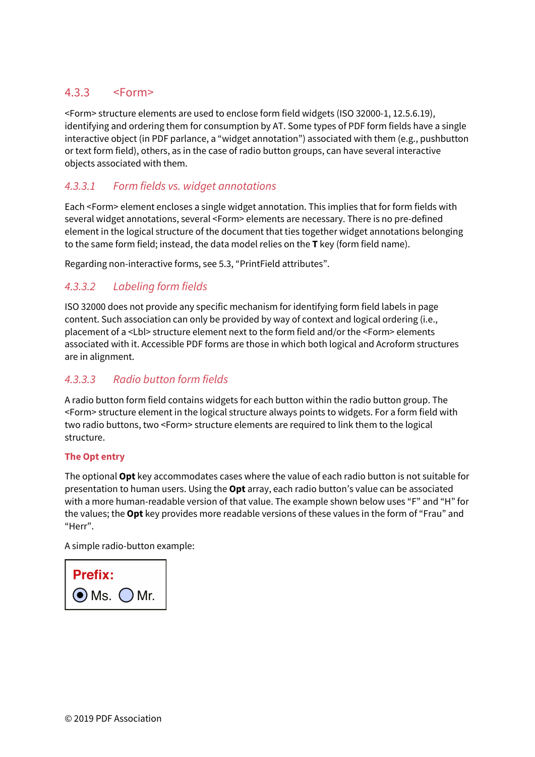# <span id="page-49-0"></span>4.3.3 <Form>

<Form> structure elements are used to enclose form field widgets (ISO 32000-1, 12.5.6.19), identifying and ordering them for consumption by AT. Some types of PDF form fields have a single interactive object (in PDF parlance, a "widget annotation") associated with them (e.g., pushbutton or text form field), others, as in the case of radio button groups, can have several interactive objects associated with them.

# *4.3.3.1 Form fields vs. widget annotations*

Each <Form> element encloses a single widget annotation. This implies that for form fields with several widget annotations, several <Form> elements are necessary. There is no pre-defined element in the logical structure of the document that ties together widget annotations belonging to the same form field; instead, the data model relies on the **T** key (form field name).

Regarding non-interactive forms, se[e 5.3,](#page-58-0) ["PrintField attributes"](#page-58-0).

# *4.3.3.2 Labeling form fields*

ISO 32000 does not provide any specific mechanism for identifying form field labels in page content. Such association can only be provided by way of context and logical ordering (i.e., placement of a <Lbl> structure element next to the form field and/or the <Form> elements associated with it. Accessible PDF forms are those in which both logical and Acroform structures are in alignment.

### *4.3.3.3 Radio button form fields*

A radio button form field contains widgets for each button within the radio button group. The <Form> structure element in the logical structure always points to widgets. For a form field with two radio buttons, two <Form> structure elements are required to link them to the logical structure.

#### **The Opt entry**

The optional **Opt** key accommodates cases where the value of each radio button is not suitable for presentation to human users. Using the **Opt** array, each radio button's value can be associated with a more human-readable version of that value. The example shown below uses "F" and "H" for the values; the **Opt** key provides more readable versions of these values in the form of "Frau" and "Herr".

A simple radio-button example:

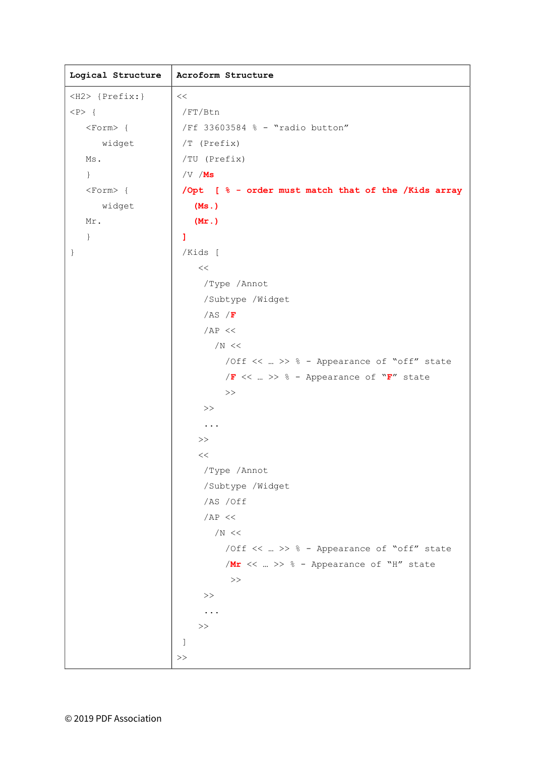| Logical Structure    | Acroform Structure                                  |  |
|----------------------|-----------------------------------------------------|--|
| <h2> {Prefix:}</h2>  | <<                                                  |  |
| $ \langle P \rangle$ | /FT/Btn                                             |  |
| $<$ Form $>$ {       | /Ff 33603584 % - "radio button"                     |  |
| widget               | $/T$ (Prefix)                                       |  |
| Ms.                  | /TU (Prefix)                                        |  |
| $\}$                 | $/\nabla / MS$                                      |  |
| $<$ Form $>$ {       | /Opt [ % - order must match that of the /Kids array |  |
| widget               | (Ms.)                                               |  |
| Mr.                  | (Mr.)                                               |  |
| $\}$                 | 1                                                   |  |
| $\}$                 | /Kids [                                             |  |
|                      | $<<$                                                |  |
|                      | /Type / Annot                                       |  |
|                      | /Subtype /Widget                                    |  |
|                      | /AS $/F$                                            |  |
|                      | AB <<                                               |  |
|                      | /N <<                                               |  |
|                      | /Off <<  >> % - Appearance of "off" state           |  |
|                      | $/F <<  >>$ ÷ - Appearance of "F" state             |  |
|                      | $>>$                                                |  |
|                      | >>                                                  |  |
|                      | $\cdots$                                            |  |
|                      | >>                                                  |  |
|                      | $<<$                                                |  |
|                      | /Type / Annot                                       |  |
|                      | /Subtype /Widget                                    |  |
|                      | /AS /Off                                            |  |
|                      | /AP <<                                              |  |
|                      | /N $\,<$                                            |  |
|                      | /Off <<  >> % - Appearance of "off" state           |  |
|                      | /Mr $<<$ >> $\frac{6}{6}$ - Appearance of "H" state |  |
|                      | $>>$                                                |  |
|                      | $>>$                                                |  |
|                      |                                                     |  |
|                      | $>>$                                                |  |
|                      | J                                                   |  |
|                      | $>>$                                                |  |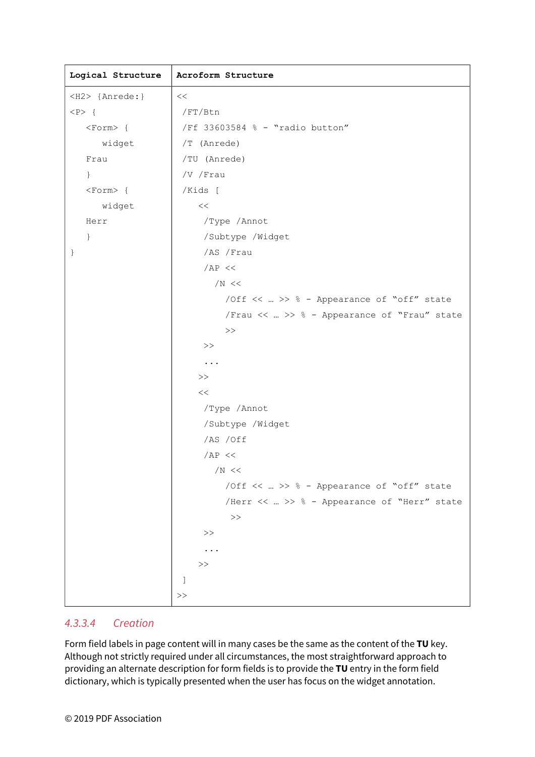| Logical Structure   | Acroform Structure                          |  |
|---------------------|---------------------------------------------|--|
| <h2> {Anrede:}</h2> | <<                                          |  |
| $< P >$ {           | /FT/Btn                                     |  |
| <form>{</form>      | /Ff 33603584 % - "radio button"             |  |
| widget              | /T (Anrede)                                 |  |
| Frau                | /TU (Anrede)                                |  |
| $\}$                | /V /Frau                                    |  |
| $<$ Form $>$ {      | /Kids [                                     |  |
| widget              | $<<$                                        |  |
| Herr                | /Type / Annot                               |  |
| $\mathcal{F}$       | /Subtype /Widget                            |  |
| $\}$                | /AS /Frau                                   |  |
|                     | /AP <<                                      |  |
|                     | /N <<                                       |  |
|                     | /Off $<<$ >> % - Appearance of "off" state  |  |
|                     | /Frau <<  >> % - Appearance of "Frau" state |  |
|                     | $>>$                                        |  |
|                     | $>>$                                        |  |
|                     | $\cdots$                                    |  |
|                     | $>>$                                        |  |
|                     | $<<$                                        |  |
|                     | /Type / Annot                               |  |
|                     | /Subtype /Widget                            |  |
|                     | /AS /Off                                    |  |
|                     | AB <<                                       |  |
|                     | /N <<                                       |  |
|                     | /Off <<  >> % - Appearance of "off" state   |  |
|                     | /Herr <<  >> % - Appearance of "Herr" state |  |
|                     | $>>$                                        |  |
|                     | $>>$                                        |  |
|                     |                                             |  |
|                     | >>                                          |  |
|                     | J                                           |  |
|                     | >>                                          |  |

#### *4.3.3.4 Creation*

Form field labels in page content will in many cases be the same as the content of the **TU** key. Although not strictly required under all circumstances, the most straightforward approach to providing an alternate description for form fields is to provide the **TU** entry in the form field dictionary, which is typically presented when the user has focus on the widget annotation.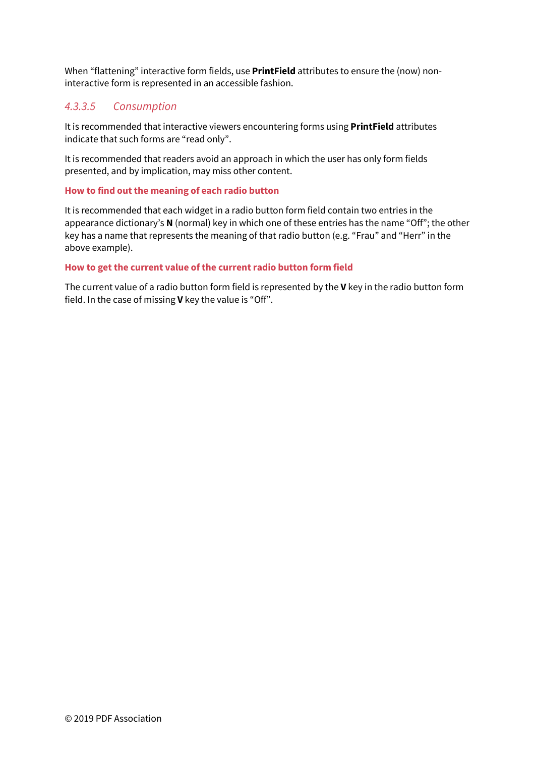When "flattening" interactive form fields, use **PrintField** attributes to ensure the (now) noninteractive form is represented in an accessible fashion.

### *4.3.3.5 Consumption*

It is recommended that interactive viewers encountering forms using **PrintField** attributes indicate that such forms are "read only".

It is recommended that readers avoid an approach in which the user has only form fields presented, and by implication, may miss other content.

#### **How to find out the meaning of each radio button**

It is recommended that each widget in a radio button form field contain two entries in the appearance dictionary's **N** (normal) key in which one of these entries has the name "Off"; the other key has a name that represents the meaning of that radio button (e.g. "Frau" and "Herr" in the above example).

#### **How to get the current value of the current radio button form field**

The current value of a radio button form field is represented by the **V** key in the radio button form field. In the case of missing **V** key the value is "Off".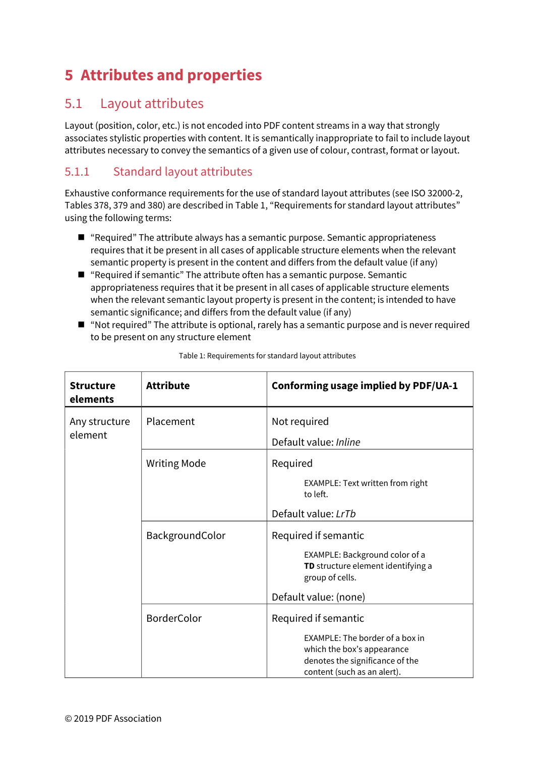# <span id="page-53-0"></span>**5 Attributes and properties**

# <span id="page-53-1"></span>5.1 Layout attributes

Layout (position, color, etc.) is not encoded into PDF content streams in a way that strongly associates stylistic properties with content. It is semantically inappropriate to fail to include layout attributes necessary to convey the semantics of a given use of colour, contrast, format or layout.

# 5.1.1 Standard layout attributes

Exhaustive conformance requirements for the use of standard layout attributes (see ISO 32000-2, Tables 378, 379 and 380) are described in [Table 1,](#page-53-2) ["Requirements for standard layout attributes"](#page-53-3) using the following terms:

- "Required" The attribute always has a semantic purpose. Semantic appropriateness requires that it be present in all cases of applicable structure elements when the relevant semantic property is present in the content and differs from the default value (if any)
- "Required if semantic" The attribute often has a semantic purpose. Semantic appropriateness requires that it be present in all cases of applicable structure elements when the relevant semantic layout property is present in the content; is intended to have semantic significance; and differs from the default value (if any)
- "Not required" The attribute is optional, rarely has a semantic purpose and is never required to be present on any structure element

<span id="page-53-2"></span>

| <b>Structure</b><br>elements | <b>Attribute</b>    | Conforming usage implied by PDF/UA-1                                                                                                                    |
|------------------------------|---------------------|---------------------------------------------------------------------------------------------------------------------------------------------------------|
| Any structure<br>element     | Placement           | Not required<br>Default value: Inline                                                                                                                   |
|                              | <b>Writing Mode</b> | Required<br>EXAMPLE: Text written from right<br>to left.                                                                                                |
|                              |                     | Default value: LrTb                                                                                                                                     |
|                              | BackgroundColor     | Required if semantic<br>EXAMPLE: Background color of a<br>TD structure element identifying a<br>group of cells.                                         |
|                              |                     | Default value: (none)                                                                                                                                   |
|                              | <b>BorderColor</b>  | Required if semantic<br>EXAMPLE: The border of a box in<br>which the box's appearance<br>denotes the significance of the<br>content (such as an alert). |

<span id="page-53-3"></span>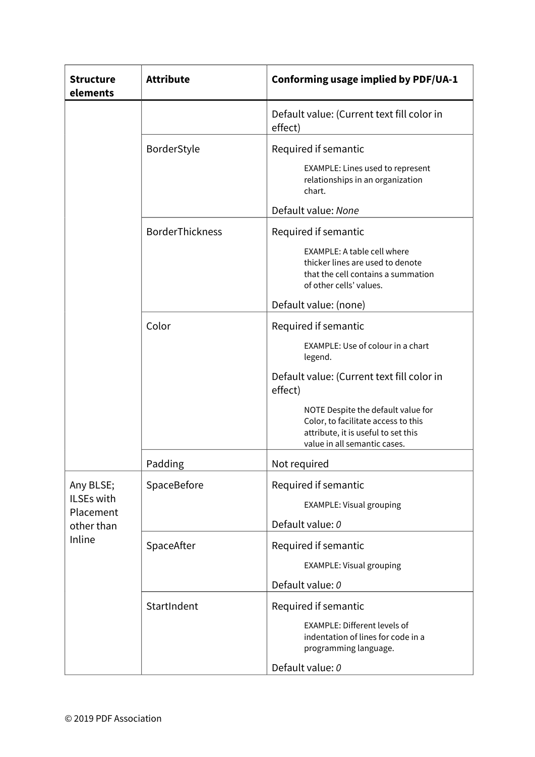| <b>Structure</b><br>elements | <b>Attribute</b>       | Conforming usage implied by PDF/UA-1                                                                                                             |
|------------------------------|------------------------|--------------------------------------------------------------------------------------------------------------------------------------------------|
|                              |                        | Default value: (Current text fill color in<br>effect)                                                                                            |
|                              | BorderStyle            | Required if semantic                                                                                                                             |
|                              |                        | EXAMPLE: Lines used to represent<br>relationships in an organization<br>chart.                                                                   |
|                              |                        | Default value: None                                                                                                                              |
|                              | <b>BorderThickness</b> | Required if semantic                                                                                                                             |
|                              |                        | <b>EXAMPLE: A table cell where</b><br>thicker lines are used to denote<br>that the cell contains a summation<br>of other cells' values.          |
|                              |                        | Default value: (none)                                                                                                                            |
|                              | Color                  | Required if semantic                                                                                                                             |
|                              |                        | EXAMPLE: Use of colour in a chart<br>legend.                                                                                                     |
|                              |                        | Default value: (Current text fill color in<br>effect)                                                                                            |
|                              |                        | NOTE Despite the default value for<br>Color, to facilitate access to this<br>attribute, it is useful to set this<br>value in all semantic cases. |
|                              | Padding                | Not required                                                                                                                                     |
| Any BLSE;                    | SpaceBefore            | Required if semantic                                                                                                                             |
| ILSEs with                   |                        | <b>EXAMPLE: Visual grouping</b>                                                                                                                  |
| Placement<br>other than      |                        | Default value: 0                                                                                                                                 |
| Inline                       | SpaceAfter             | Required if semantic                                                                                                                             |
|                              |                        | <b>EXAMPLE: Visual grouping</b>                                                                                                                  |
|                              |                        | Default value: 0                                                                                                                                 |
|                              | StartIndent            | Required if semantic                                                                                                                             |
|                              |                        | <b>EXAMPLE: Different levels of</b><br>indentation of lines for code in a<br>programming language.                                               |
|                              |                        | Default value: 0                                                                                                                                 |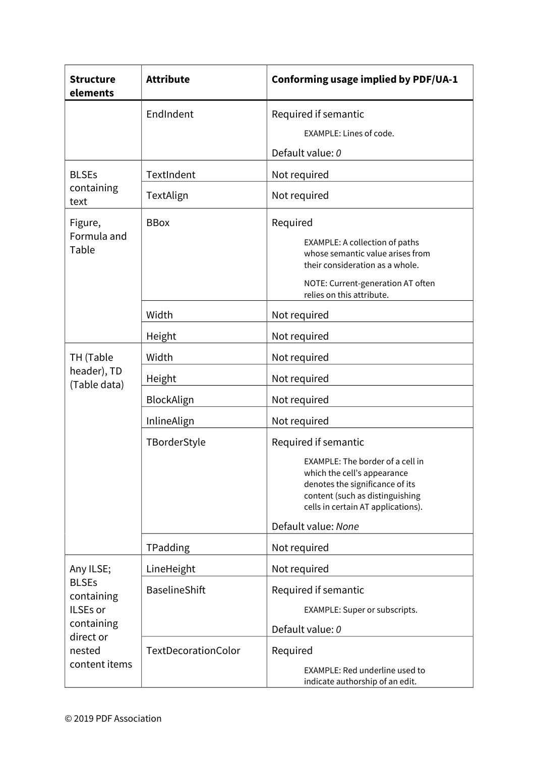| <b>Structure</b><br>elements                                                                 | <b>Attribute</b>     | Conforming usage implied by PDF/UA-1                                                                                                                                                                                       |
|----------------------------------------------------------------------------------------------|----------------------|----------------------------------------------------------------------------------------------------------------------------------------------------------------------------------------------------------------------------|
|                                                                                              | EndIndent            | Required if semantic                                                                                                                                                                                                       |
|                                                                                              |                      | EXAMPLE: Lines of code.                                                                                                                                                                                                    |
|                                                                                              |                      | Default value: 0                                                                                                                                                                                                           |
| <b>BLSEs</b>                                                                                 | TextIndent           | Not required                                                                                                                                                                                                               |
| containing<br>text                                                                           | TextAlign            | Not required                                                                                                                                                                                                               |
| Figure,<br>Formula and<br>Table                                                              | <b>BBox</b>          | Required<br><b>EXAMPLE: A collection of paths</b><br>whose semantic value arises from<br>their consideration as a whole.<br>NOTE: Current-generation AT often<br>relies on this attribute.                                 |
|                                                                                              | Width                | Not required                                                                                                                                                                                                               |
|                                                                                              | Height               | Not required                                                                                                                                                                                                               |
| TH (Table                                                                                    | Width                | Not required                                                                                                                                                                                                               |
| header), TD                                                                                  | Height               | Not required                                                                                                                                                                                                               |
| (Table data)                                                                                 | BlockAlign           | Not required                                                                                                                                                                                                               |
|                                                                                              | InlineAlign          | Not required                                                                                                                                                                                                               |
|                                                                                              | TBorderStyle         | Required if semantic<br>EXAMPLE: The border of a cell in<br>which the cell's appearance<br>denotes the significance of its<br>content (such as distinguishing<br>cells in certain AT applications).<br>Default value: None |
|                                                                                              | TPadding             | Not required                                                                                                                                                                                                               |
| Any ILSE;                                                                                    | LineHeight           | Not required                                                                                                                                                                                                               |
| <b>BLSEs</b><br>containing<br>ILSEs or<br>containing<br>direct or<br>nested<br>content items | <b>BaselineShift</b> | Required if semantic<br>EXAMPLE: Super or subscripts.<br>Default value: 0                                                                                                                                                  |
|                                                                                              | TextDecorationColor  | Required<br>EXAMPLE: Red underline used to<br>indicate authorship of an edit.                                                                                                                                              |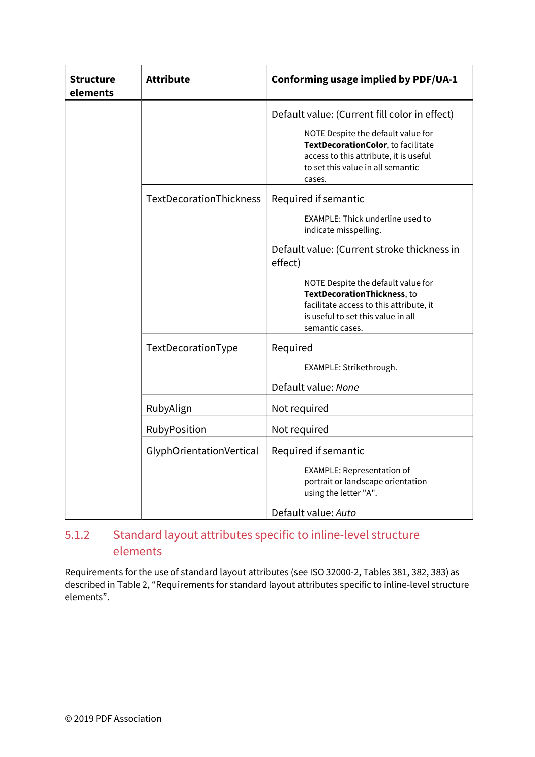| <b>Structure</b><br>elements | <b>Attribute</b>         | Conforming usage implied by PDF/UA-1                                                                                                                                                                                                                                                                                 |
|------------------------------|--------------------------|----------------------------------------------------------------------------------------------------------------------------------------------------------------------------------------------------------------------------------------------------------------------------------------------------------------------|
|                              |                          | Default value: (Current fill color in effect)<br>NOTE Despite the default value for<br>TextDecorationColor, to facilitate<br>access to this attribute, it is useful<br>to set this value in all semantic<br>cases.                                                                                                   |
|                              | TextDecorationThickness  | Required if semantic<br>EXAMPLE: Thick underline used to<br>indicate misspelling.<br>Default value: (Current stroke thickness in<br>effect)<br>NOTE Despite the default value for<br>TextDecorationThickness, to<br>facilitate access to this attribute, it<br>is useful to set this value in all<br>semantic cases. |
|                              | TextDecorationType       | Required<br>EXAMPLE: Strikethrough.<br>Default value: None                                                                                                                                                                                                                                                           |
|                              | RubyAlign                | Not required                                                                                                                                                                                                                                                                                                         |
|                              | RubyPosition             | Not required                                                                                                                                                                                                                                                                                                         |
|                              | GlyphOrientationVertical | Required if semantic<br><b>EXAMPLE: Representation of</b><br>portrait or landscape orientation<br>using the letter "A".                                                                                                                                                                                              |
|                              |                          | Default value: Auto                                                                                                                                                                                                                                                                                                  |

# 5.1.2 Standard layout attributes specific to inline-level structure elements

Requirements for the use of standard layout attributes (see ISO 32000-2, Tables 381, 382, 383) as described i[n Table 2,](#page-57-1) ["Requirements for standard layout attributes specific to inline-level structure](#page-57-2)  [elements"](#page-57-2).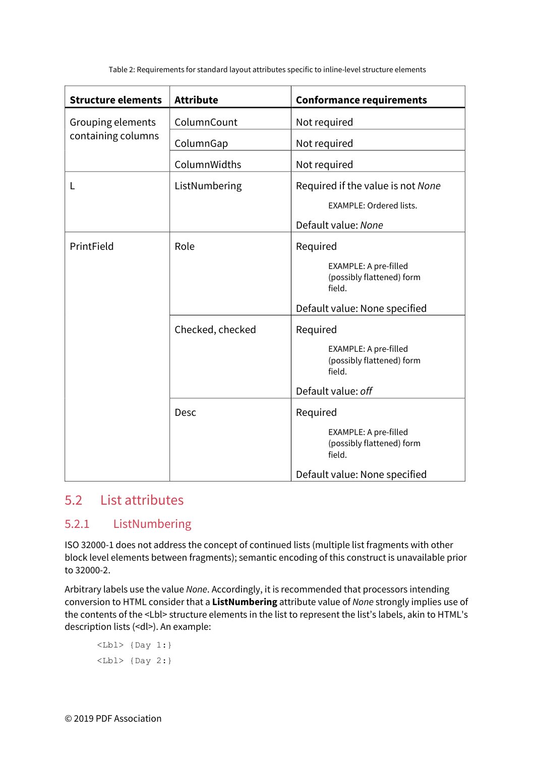<span id="page-57-2"></span>Table 2: Requirements for standard layout attributes specific to inline-level structure elements

<span id="page-57-1"></span>

| <b>Structure elements</b> | <b>Attribute</b> | <b>Conformance requirements</b>                                     |
|---------------------------|------------------|---------------------------------------------------------------------|
| Grouping elements         | ColumnCount      | Not required                                                        |
| containing columns        | ColumnGap        | Not required                                                        |
|                           | ColumnWidths     | Not required                                                        |
| L                         | ListNumbering    | Required if the value is not None                                   |
|                           |                  | <b>EXAMPLE: Ordered lists.</b>                                      |
|                           |                  | Default value: None                                                 |
| PrintField                | Role             | Required                                                            |
|                           |                  | EXAMPLE: A pre-filled<br>(possibly flattened) form<br>field.        |
|                           |                  | Default value: None specified                                       |
|                           | Checked, checked | Required                                                            |
|                           |                  | EXAMPLE: A pre-filled<br>(possibly flattened) form<br>field.        |
|                           |                  | Default value: off                                                  |
|                           | Desc             | Required                                                            |
|                           |                  | <b>EXAMPLE: A pre-filled</b><br>(possibly flattened) form<br>field. |
|                           |                  | Default value: None specified                                       |

# <span id="page-57-0"></span>5.2 List attributes

# 5.2.1 ListNumbering

ISO 32000-1 does not address the concept of continued lists (multiple list fragments with other block level elements between fragments); semantic encoding of this construct is unavailable prior to 32000-2.

Arbitrary labels use the value *None*. Accordingly, it is recommended that processors intending conversion to HTML consider that a **ListNumbering** attribute value of *None* strongly implies use of the contents of the <Lbl> structure elements in the list to represent the list's labels, akin to HTML's description lists (<dl>). An example:

```
\langle Lbl \rangle {Day 1:}
\langle Lb1 \rangle {Day 2:}
```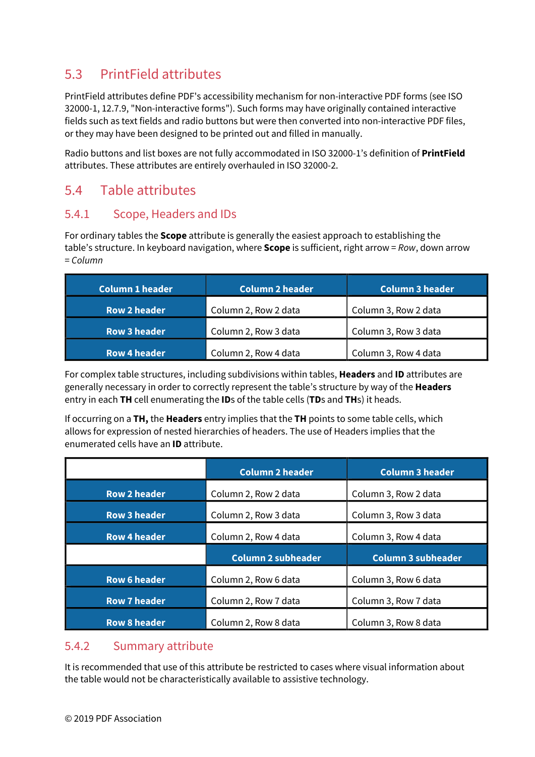# <span id="page-58-0"></span>5.3 PrintField attributes

PrintField attributes define PDF's accessibility mechanism for non-interactive PDF forms (see ISO 32000-1, 12.7.9, "Non-interactive forms"). Such forms may have originally contained interactive fields such as text fields and radio buttons but were then converted into non-interactive PDF files, or they may have been designed to be printed out and filled in manually.

Radio buttons and list boxes are not fully accommodated in ISO 32000-1's definition of **PrintField** attributes. These attributes are entirely overhauled in ISO 32000-2.

# <span id="page-58-1"></span>5.4 Table attributes

# 5.4.1 Scope, Headers and IDs

For ordinary tables the **Scope** attribute is generally the easiest approach to establishing the table's structure. In keyboard navigation, where **Scope** is sufficient, right arrow = *Row*, down arrow = *Column* 

| <b>Column 1 header</b> | <b>Column 2 header</b> | <b>Column 3 header</b> |
|------------------------|------------------------|------------------------|
| <b>Row 2 header</b>    | Column 2, Row 2 data   | Column 3, Row 2 data   |
| <b>Row 3 header</b>    | Column 2, Row 3 data   | Column 3, Row 3 data   |
| Row 4 header           | Column 2, Row 4 data   | Column 3, Row 4 data   |

For complex table structures, including subdivisions within tables, **Headers** and **ID** attributes are generally necessary in order to correctly represent the table's structure by way of the **Headers** entry in each **TH** cell enumerating the **ID**s of the table cells (**TD**s and **TH**s) it heads.

If occurring on a **TH,** the **Headers** entry implies that the **TH** points to some table cells, which allows for expression of nested hierarchies of headers. The use of Headers implies that the enumerated cells have an **ID** attribute.

|                     | <b>Column 2 header</b>    | <b>Column 3 header</b>    |
|---------------------|---------------------------|---------------------------|
| <b>Row 2 header</b> | Column 2, Row 2 data      | Column 3, Row 2 data      |
| <b>Row 3 header</b> | Column 2, Row 3 data      | Column 3, Row 3 data      |
| <b>Row 4 header</b> | Column 2, Row 4 data      | Column 3, Row 4 data      |
|                     |                           |                           |
|                     | <b>Column 2 subheader</b> | <b>Column 3 subheader</b> |
| <b>Row 6 header</b> | Column 2, Row 6 data      | Column 3, Row 6 data      |
| <b>Row 7 header</b> | Column 2, Row 7 data      | Column 3, Row 7 data      |

# 5.4.2 Summary attribute

It is recommended that use of this attribute be restricted to cases where visual information about the table would not be characteristically available to assistive technology.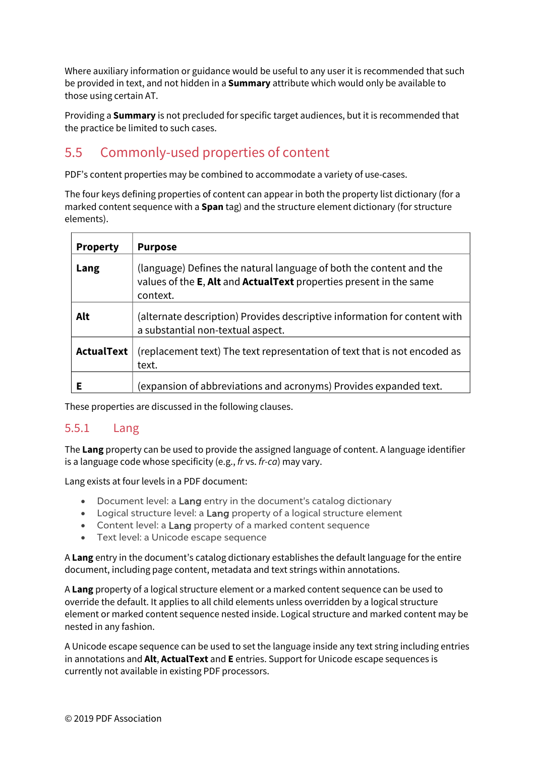Where auxiliary information or guidance would be useful to any user it is recommended that such be provided in text, and not hidden in a **Summary** attribute which would only be available to those using certain AT.

Providing a **Summary** is not precluded for specific target audiences, but it is recommended that the practice be limited to such cases.

# <span id="page-59-0"></span>5.5 Commonly-used properties of content

PDF's content properties may be combined to accommodate a variety of use-cases.

The four keys defining properties of content can appear in both the property list dictionary (for a marked content sequence with a **Span** tag) and the structure element dictionary (for structure elements).

| <b>Property</b>   | <b>Purpose</b>                                                                                                                                                |
|-------------------|---------------------------------------------------------------------------------------------------------------------------------------------------------------|
| Lang              | (language) Defines the natural language of both the content and the<br>values of the <b>E</b> , Alt and ActualText properties present in the same<br>context. |
| Alt               | (alternate description) Provides descriptive information for content with<br>a substantial non-textual aspect.                                                |
| <b>ActualText</b> | (replacement text) The text representation of text that is not encoded as<br>text.                                                                            |
|                   | (expansion of abbreviations and acronyms) Provides expanded text.                                                                                             |

These properties are discussed in the following clauses.

### 5.5.1 Lang

The **Lang** property can be used to provide the assigned language of content. A language identifier is a language code whose specificity (e.g., *fr* vs. *fr-ca*) may vary.

Lang exists at four levels in a PDF document:

- Document level: a **Lang** entry in the document's catalog dictionary
- Logical structure level: a Lang property of a logical structure element
- Content level: a Lang property of a marked content sequence
- Text level: a Unicode escape sequence

A **Lang** entry in the document's catalog dictionary establishes the default language for the entire document, including page content, metadata and text strings within annotations.

A **Lang** property of a logical structure element or a marked content sequence can be used to override the default. It applies to all child elements unless overridden by a logical structure element or marked content sequence nested inside. Logical structure and marked content may be nested in any fashion.

A Unicode escape sequence can be used to set the language inside any text string including entries in annotations and **Alt**, **ActualText** and **E** entries. Support for Unicode escape sequences is currently not available in existing PDF processors.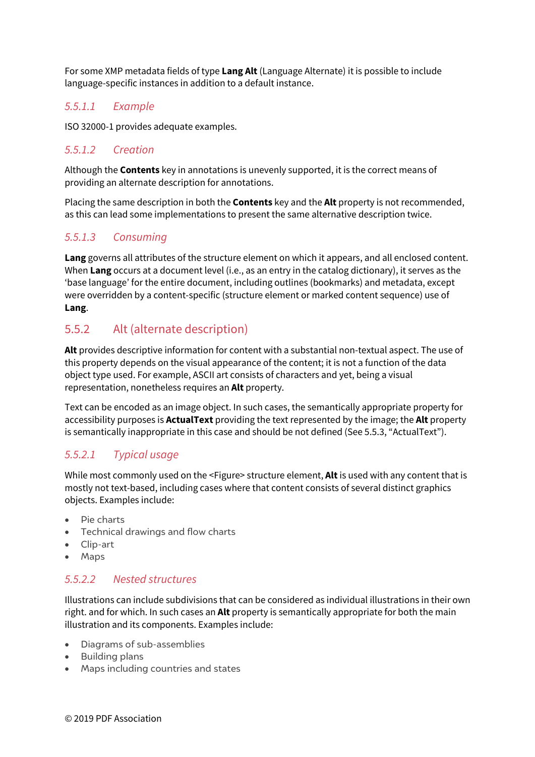For some XMP metadata fields of type **Lang Alt** (Language Alternate) it is possible to include language-specific instances in addition to a default instance.

### *5.5.1.1 Example*

ISO 32000-1 provides adequate examples.

### *5.5.1.2 Creation*

Although the **Contents** key in annotations is unevenly supported, it is the correct means of providing an alternate description for annotations.

Placing the same description in both the **Contents** key and the **Alt** property is not recommended, as this can lead some implementations to present the same alternative description twice.

### *5.5.1.3 Consuming*

**Lang** governs all attributes of the structure element on which it appears, and all enclosed content. When **Lang** occurs at a document level (i.e., as an entry in the catalog dictionary), it serves as the 'base language' for the entire document, including outlines (bookmarks) and metadata, except were overridden by a content-specific (structure element or marked content sequence) use of **Lang**.

# 5.5.2 Alt (alternate description)

**Alt** provides descriptive information for content with a substantial non-textual aspect. The use of this property depends on the visual appearance of the content; it is not a function of the data object type used. For example, ASCII art consists of characters and yet, being a visual representation, nonetheless requires an **Alt** property.

Text can be encoded as an image object. In such cases, the semantically appropriate property for accessibility purposes is **ActualText** providing the text represented by the image; the **Alt** property is semantically inappropriate in this case and should be not defined (Se[e 5.5.3,](#page-61-0) ["ActualText"](#page-61-0)).

### *5.5.2.1 Typical usage*

While most commonly used on the <Figure> structure element, **Alt** is used with any content that is mostly not text-based, including cases where that content consists of several distinct graphics objects. Examples include:

- Pie charts
- Technical drawings and flow charts
- Clip-art
- Maps

### *5.5.2.2 Nested structures*

Illustrations can include subdivisions that can be considered as individual illustrations in their own right. and for which. In such cases an **Alt** property is semantically appropriate for both the main illustration and its components. Examples include:

- Diagrams of sub-assemblies
- Building plans
- Maps including countries and states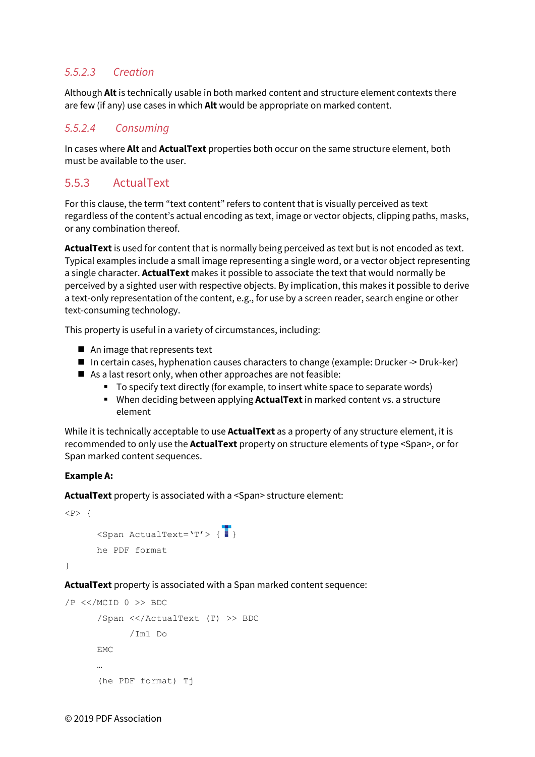# *5.5.2.3 Creation*

Although **Alt** is technically usable in both marked content and structure element contexts there are few (if any) use cases in which **Alt** would be appropriate on marked content.

### *5.5.2.4 Consuming*

In cases where **Alt** and **ActualText** properties both occur on the same structure element, both must be available to the user.

# <span id="page-61-0"></span>5.5.3 ActualText

For this clause, the term "text content" refers to content that is visually perceived as text regardless of the content's actual encoding as text, image or vector objects, clipping paths, masks, or any combination thereof.

**ActualText** is used for content that is normally being perceived as text but is not encoded as text. Typical examples include a small image representing a single word, or a vector object representing a single character. **ActualText** makes it possible to associate the text that would normally be perceived by a sighted user with respective objects. By implication, this makes it possible to derive a text-only representation of the content, e.g., for use by a screen reader, search engine or other text-consuming technology.

This property is useful in a variety of circumstances, including:

- $\blacksquare$  An image that represents text
- In certain cases, hyphenation causes characters to change (example: Drucker -> Druk-ker)
- As a last resort only, when other approaches are not feasible:
	- To specify text directly (for example, to insert white space to separate words)
	- When deciding between applying **ActualText** in marked content vs. a structure element

While it is technically acceptable to use **ActualText** as a property of any structure element, it is recommended to only use the **ActualText** property on structure elements of type <Span>, or for Span marked content sequences.

#### **Example A:**

**ActualText** property is associated with a <Span> structure element:

```
<P> { 
       \langleSpan ActualText='T'> {
        he PDF format 
}
```
**ActualText** property is associated with a Span marked content sequence:

```
/P \ll MCID 0 >> BDC/Span <</ActualText (T) >> BDC 
            /Im1 Do 
      EMC 
      … 
      (he PDF format) Tj
```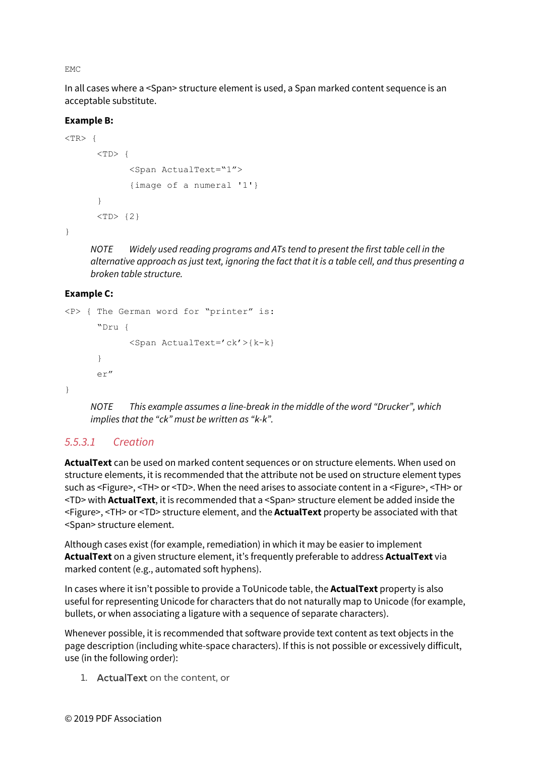EMC

In all cases where a <Span> structure element is used, a Span marked content sequence is an acceptable substitute.

#### **Example B:**

```
<TR> {
      <TD>\{<Span ActualText="1"> 
             {image of a numeral '1'} 
      } 
      <TD> {2}
```
}

*NOTE Widely used reading programs and ATs tend to present the first table cell in the alternative approach as just text, ignoring the fact that it is a table cell, and thus presenting a broken table structure.* 

#### **Example C:**

```
<P> { The German word for "printer" is: 
      "Dru { 
             <Span ActualText='ck'>{k-k} 
      } 
      er" 
}
```
*NOTE This example assumes a line-break in the middle of the word "Drucker", which implies that the "ck" must be written as "k-k".* 

# *5.5.3.1 Creation*

**ActualText** can be used on marked content sequences or on structure elements. When used on structure elements, it is recommended that the attribute not be used on structure element types such as <Figure>, <TH> or <TD>. When the need arises to associate content in a <Figure>, <TH> or <TD> with **ActualText**, it is recommended that a <Span> structure element be added inside the <Figure>, <TH> or <TD> structure element, and the **ActualText** property be associated with that <Span> structure element.

Although cases exist (for example, remediation) in which it may be easier to implement **ActualText** on a given structure element, it's frequently preferable to address **ActualText** via marked content (e.g., automated soft hyphens).

In cases where it isn't possible to provide a ToUnicode table, the **ActualText** property is also useful for representing Unicode for characters that do not naturally map to Unicode (for example, bullets, or when associating a ligature with a sequence of separate characters).

Whenever possible, it is recommended that software provide text content as text objects in the page description (including white-space characters). If this is not possible or excessively difficult, use (in the following order):

1. ActualText on the content, or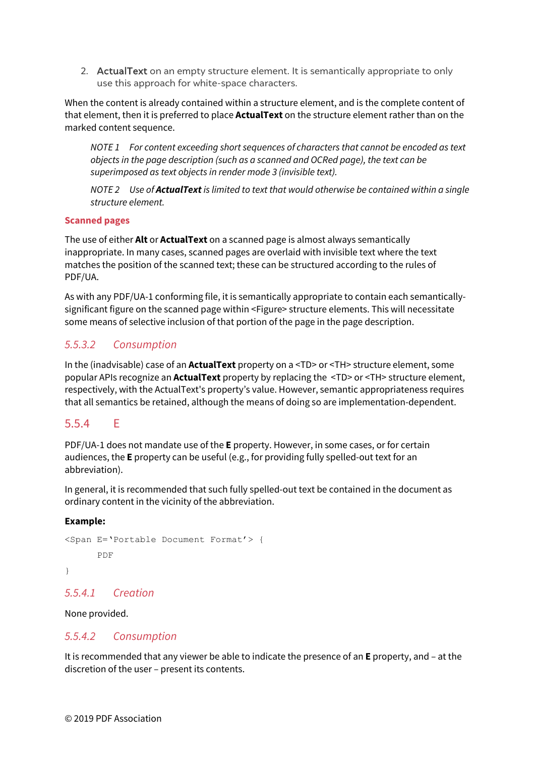2. ActualText on an empty structure element. It is semantically appropriate to only use this approach for white-space characters.

When the content is already contained within a structure element, and is the complete content of that element, then it is preferred to place **ActualText** on the structure element rather than on the marked content sequence.

*NOTE 1 For content exceeding short sequences of characters that cannot be encoded as text objects in the page description (such as a scanned and OCRed page), the text can be superimposed as text objects in render mode 3 (invisible text).* 

*NOTE 2 Use of ActualText is limited to text that would otherwise be contained within a single structure element.* 

#### **Scanned pages**

The use of either **Alt** or **ActualText** on a scanned page is almost always semantically inappropriate. In many cases, scanned pages are overlaid with invisible text where the text matches the position of the scanned text; these can be structured according to the rules of PDF/UA.

As with any PDF/UA-1 conforming file, it is semantically appropriate to contain each semanticallysignificant figure on the scanned page within <Figure> structure elements. This will necessitate some means of selective inclusion of that portion of the page in the page description.

# *5.5.3.2 Consumption*

In the (inadvisable) case of an **ActualText** property on a <TD> or <TH> structure element, some popular APIs recognize an **ActualText** property by replacing the <TD> or <TH> structure element, respectively, with the ActualText's property's value. However, semantic appropriateness requires that all semantics be retained, although the means of doing so are implementation-dependent.

### 5.5.4 E

PDF/UA-1 does not mandate use of the **E** property. However, in some cases, or for certain audiences, the **E** property can be useful (e.g., for providing fully spelled-out text for an abbreviation).

In general, it is recommended that such fully spelled-out text be contained in the document as ordinary content in the vicinity of the abbreviation.

#### **Example:**

```
<Span E='Portable Document Format'> { 
      PDF 
}
```
#### *5.5.4.1 Creation*

None provided.

#### *5.5.4.2 Consumption*

It is recommended that any viewer be able to indicate the presence of an **E** property, and – at the discretion of the user – present its contents.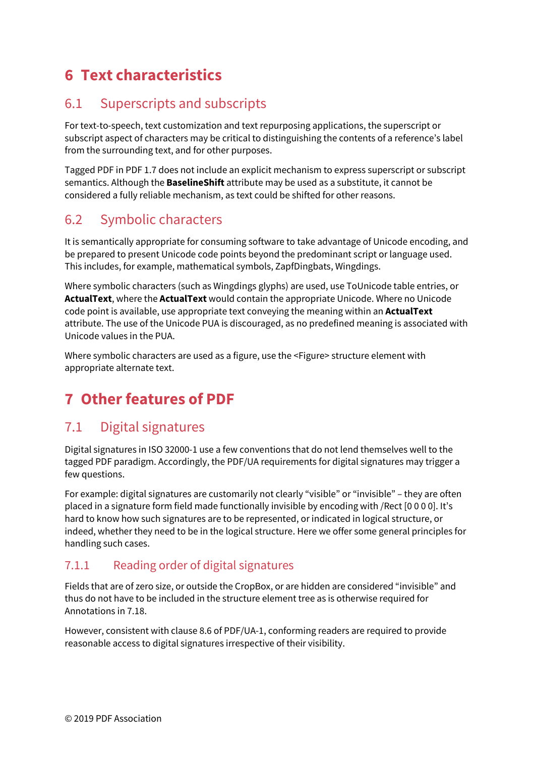# <span id="page-64-0"></span>**6 Text characteristics**

# <span id="page-64-1"></span>6.1 Superscripts and subscripts

For text-to-speech, text customization and text repurposing applications, the superscript or subscript aspect of characters may be critical to distinguishing the contents of a reference's label from the surrounding text, and for other purposes.

Tagged PDF in PDF 1.7 does not include an explicit mechanism to express superscript or subscript semantics. Although the **BaselineShift** attribute may be used as a substitute, it cannot be considered a fully reliable mechanism, as text could be shifted for other reasons.

# <span id="page-64-2"></span>6.2 Symbolic characters

It is semantically appropriate for consuming software to take advantage of Unicode encoding, and be prepared to present Unicode code points beyond the predominant script or language used. This includes, for example, mathematical symbols, ZapfDingbats, Wingdings.

Where symbolic characters (such as Wingdings glyphs) are used, use ToUnicode table entries, or **ActualText**, where the **ActualText** would contain the appropriate Unicode. Where no Unicode code point is available, use appropriate text conveying the meaning within an **ActualText** attribute. The use of the Unicode PUA is discouraged, as no predefined meaning is associated with Unicode values in the PUA.

Where symbolic characters are used as a figure, use the <Figure> structure element with appropriate alternate text.

# <span id="page-64-3"></span>**7 Other features of PDF**

# <span id="page-64-4"></span>7.1 Digital signatures

Digital signatures in ISO 32000-1 use a few conventions that do not lend themselves well to the tagged PDF paradigm. Accordingly, the PDF/UA requirements for digital signatures may trigger a few questions.

For example: digital signatures are customarily not clearly "visible" or "invisible" – they are often placed in a signature form field made functionally invisible by encoding with /Rect [0 0 0 0]. It's hard to know how such signatures are to be represented, or indicated in logical structure, or indeed, whether they need to be in the logical structure. Here we offer some general principles for handling such cases.

# 7.1.1 Reading order of digital signatures

Fields that are of zero size, or outside the CropBox, or are hidden are considered "invisible" and thus do not have to be included in the structure element tree as is otherwise required for Annotations in 7.18.

However, consistent with clause 8.6 of PDF/UA-1, conforming readers are required to provide reasonable access to digital signatures irrespective of their visibility.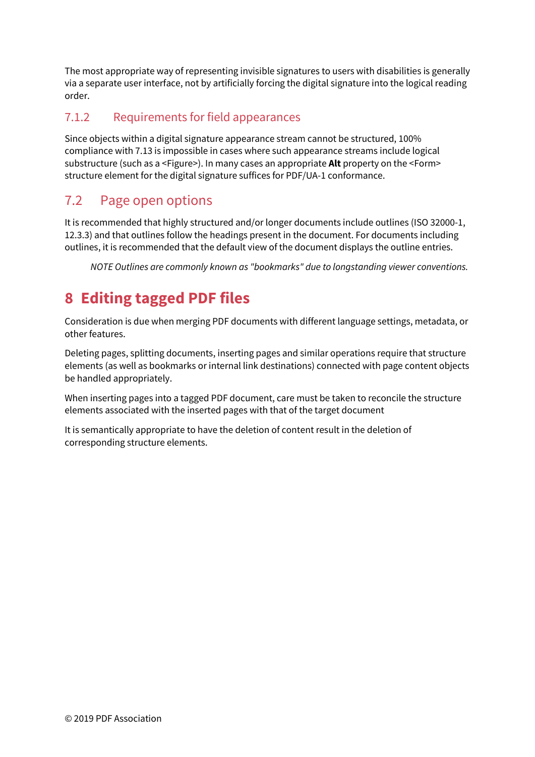The most appropriate way of representing invisible signatures to users with disabilities is generally via a separate user interface, not by artificially forcing the digital signature into the logical reading order.

# 7.1.2 Requirements for field appearances

Since objects within a digital signature appearance stream cannot be structured, 100% compliance with 7.13 is impossible in cases where such appearance streams include logical substructure (such as a <Figure>). In many cases an appropriate **Alt** property on the <Form> structure element for the digital signature suffices for PDF/UA-1 conformance.

# <span id="page-65-0"></span>7.2 Page open options

It is recommended that highly structured and/or longer documents include outlines (ISO 32000-1, 12.3.3) and that outlines follow the headings present in the document. For documents including outlines, it is recommended that the default view of the document displays the outline entries.

*NOTE Outlines are commonly known as "bookmarks" due to longstanding viewer conventions.* 

# <span id="page-65-1"></span>**8 Editing tagged PDF files**

Consideration is due when merging PDF documents with different language settings, metadata, or other features.

Deleting pages, splitting documents, inserting pages and similar operations require that structure elements (as well as bookmarks or internal link destinations) connected with page content objects be handled appropriately.

When inserting pages into a tagged PDF document, care must be taken to reconcile the structure elements associated with the inserted pages with that of the target document

It is semantically appropriate to have the deletion of content result in the deletion of corresponding structure elements.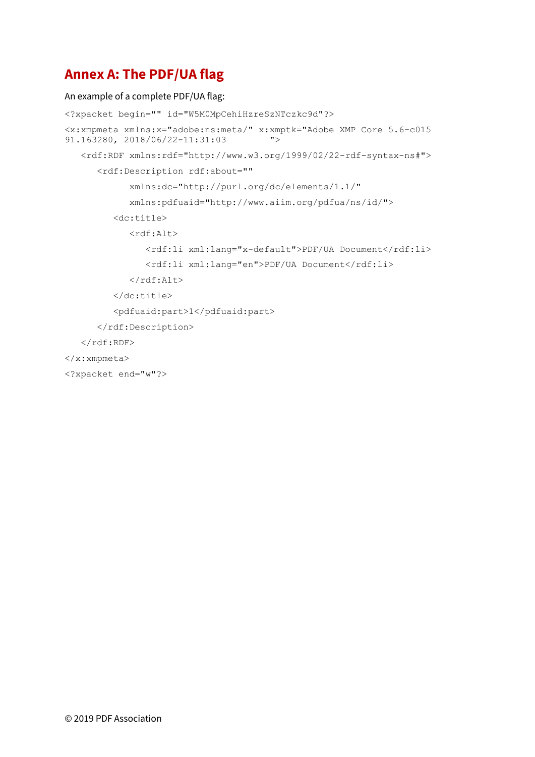# <span id="page-66-0"></span>**Annex A: The PDF/UA flag**

#### An example of a complete PDF/UA flag:

```
<?xpacket begin="" id="W5M0MpCehiHzreSzNTczkc9d"?> 
<x:xmpmeta xmlns:x="adobe:ns:meta/" x:xmptk="Adobe XMP Core 5.6-c015 
91.163280, 2018/06/22-11:31:03 "> 
    <rdf:RDF xmlns:rdf="http://www.w3.org/1999/02/22-rdf-syntax-ns#"> 
       <rdf:Description rdf:about="" 
             xmlns:dc="http://purl.org/dc/elements/1.1/" 
             xmlns:pdfuaid="http://www.aiim.org/pdfua/ns/id/"> 
          <dc:title> 
             <rdf:Alt> 
               <rdf:li xml:lang="x-default">PDF/UA Document</rdf:li>
               <rdf:li xml:lang="en">PDF/UA Document</rdf:li>
            \langle/rdf:Alt>
          </dc:title> 
          <pdfuaid:part>1</pdfuaid:part> 
      </rdf:Description>
   \langle/rdf:RDF>
</x:xmpmeta> 
<?xpacket end="w"?>
```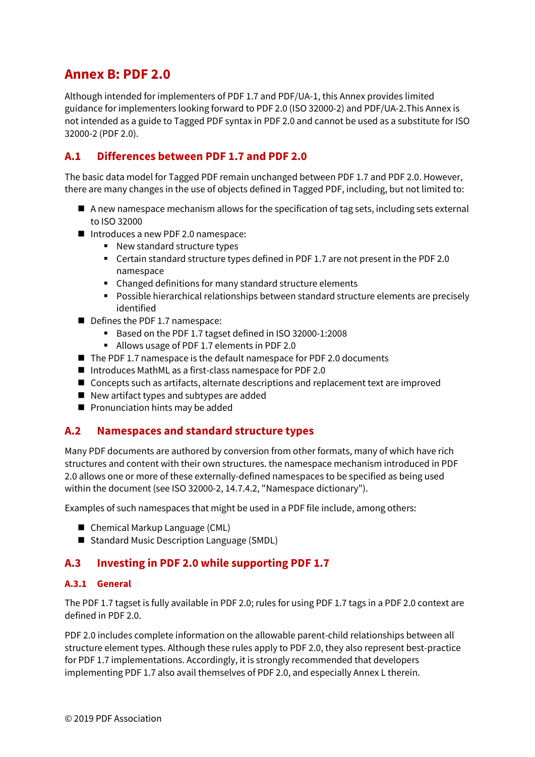# <span id="page-67-0"></span>**Annex B: PDF 2.0**

Although intended for implementers of PDF 1.7 and PDF/UA-1, this Annex provides limited guidance for implementers looking forward to PDF 2.0 (ISO 32000-2) and PDF/UA-2.This Annex is not intended as a guide to Tagged PDF syntax in PDF 2.0 and cannot be used as a substitute for ISO 32000-2 (PDF 2.0).

# <span id="page-67-1"></span>**A.1 Differences between PDF 1.7 and PDF 2.0**

The basic data model for Tagged PDF remain unchanged between PDF 1.7 and PDF 2.0. However, there are many changes in the use of objects defined in Tagged PDF, including, but not limited to:

- $\blacksquare$  A new namespace mechanism allows for the specification of tag sets, including sets external to ISO 32000
- Introduces a new PDF 2.0 namespace:
	- New standard structure types
	- Certain standard structure types defined in PDF 1.7 are not present in the PDF 2.0 namespace
	- Changed definitions for many standard structure elements
	- Possible hierarchical relationships between standard structure elements are precisely identified
- Defines the PDF 1.7 namespace:
	- Based on the PDF 1.7 tagset defined in ISO 32000-1:2008
	- Allows usage of PDF 1.7 elements in PDF 2.0
- $\blacksquare$  The PDF 1.7 namespace is the default namespace for PDF 2.0 documents
- Introduces MathML as a first-class namespace for PDF 2.0
- Concepts such as artifacts, alternate descriptions and replacement text are improved
- New artifact types and subtypes are added
- Pronunciation hints may be added

### <span id="page-67-2"></span>**A.2 Namespaces and standard structure types**

Many PDF documents are authored by conversion from other formats, many of which have rich structures and content with their own structures. the namespace mechanism introduced in PDF 2.0 allows one or more of these externally-defined namespaces to be specified as being used within the document (see ISO 32000-2, 14.7.4.2, "Namespace dictionary").

Examples of such namespaces that might be used in a PDF file include, among others:

- Chemical Markup Language (CML)
- Standard Music Description Language (SMDL)

#### <span id="page-67-3"></span>**A.3 Investing in PDF 2.0 while supporting PDF 1.7**

#### **A.3.1 General**

The PDF 1.7 tagset is fully available in PDF 2.0; rules for using PDF 1.7 tags in a PDF 2.0 context are defined in PDF 2.0.

PDF 2.0 includes complete information on the allowable parent-child relationships between all structure element types. Although these rules apply to PDF 2.0, they also represent best-practice for PDF 1.7 implementations. Accordingly, it is strongly recommended that developers implementing PDF 1.7 also avail themselves of PDF 2.0, and especially Annex L therein.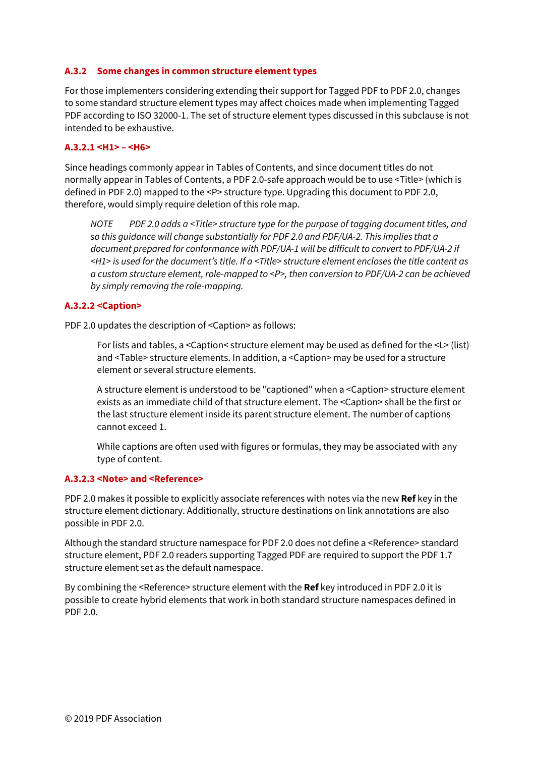#### **A.3.2 Some changes in common structure element types**

For those implementers considering extending their support for Tagged PDF to PDF 2.0, changes to some standard structure element types may affect choices made when implementing Tagged PDF according to ISO 32000-1. The set of structure element types discussed in this subclause is not intended to be exhaustive.

#### **A.3.2.1 <H1> – <H6>**

Since headings commonly appear in Tables of Contents, and since document titles do not normally appear in Tables of Contents, a PDF 2.0-safe approach would be to use <Title> (which is defined in PDF 2.0) mapped to the <P> structure type. Upgrading this document to PDF 2.0, therefore, would simply require deletion of this role map.

*NOTE PDF 2.0 adds a <Title> structure type for the purpose of tagging document titles, and so this guidance will change substantially for PDF 2.0 and PDF/UA-2. This implies that a document prepared for conformance with PDF/UA-1 will be difficult to convert to PDF/UA-2 if <H1> is used for the document's title. If a <Title> structure element encloses the title content as a custom structure element, role-mapped to <P>, then conversion to PDF/UA-2 can be achieved by simply removing the role-mapping.* 

#### **A.3.2.2 <Caption>**

PDF 2.0 updates the description of <Caption> as follows:

For lists and tables, a <Caption< structure element may be used as defined for the <L> (list) and <Table> structure elements. In addition, a <Caption> may be used for a structure element or several structure elements.

A structure element is understood to be "captioned" when a <Caption> structure element exists as an immediate child of that structure element. The <Caption> shall be the first or the last structure element inside its parent structure element. The number of captions cannot exceed 1.

While captions are often used with figures or formulas, they may be associated with any type of content.

#### **A.3.2.3 <Note> and <Reference>**

PDF 2.0 makes it possible to explicitly associate references with notes via the new **Ref** key in the structure element dictionary. Additionally, structure destinations on link annotations are also possible in PDF 2.0.

Although the standard structure namespace for PDF 2.0 does not define a <Reference> standard structure element, PDF 2.0 readers supporting Tagged PDF are required to support the PDF 1.7 structure element set as the default namespace.

By combining the <Reference> structure element with the **Ref** key introduced in PDF 2.0 it is possible to create hybrid elements that work in both standard structure namespaces defined in PDF 2.0.